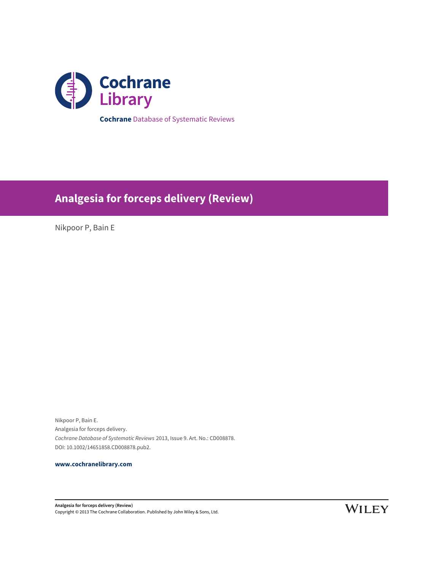

**Cochrane** Database of Systematic Reviews

# **Analgesia for forceps delivery (Review)**

Nikpoor P, Bain E

Nikpoor P, Bain E. Analgesia for forceps delivery. Cochrane Database of Systematic Reviews 2013, Issue 9. Art. No.: CD008878. DOI: 10.1002/14651858.CD008878.pub2.

**[www.cochranelibrary.com](http://www.cochranelibrary.com)**

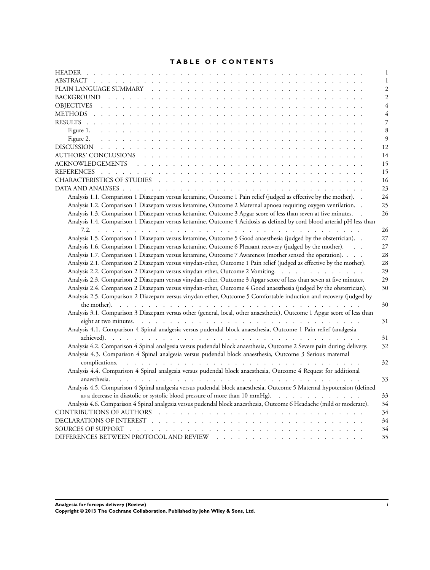# **TABLE OF CONTENTS**

|                                                                                                                          | 1              |
|--------------------------------------------------------------------------------------------------------------------------|----------------|
|                                                                                                                          | $\mathbf{1}$   |
|                                                                                                                          | $\overline{2}$ |
|                                                                                                                          | $\overline{2}$ |
|                                                                                                                          | 4              |
|                                                                                                                          | 4              |
|                                                                                                                          | 7              |
|                                                                                                                          | 8              |
|                                                                                                                          | $\overline{Q}$ |
|                                                                                                                          | 12             |
|                                                                                                                          | 14             |
|                                                                                                                          | 15             |
|                                                                                                                          | 15             |
|                                                                                                                          | 16             |
|                                                                                                                          | 23             |
| Analysis 1.1. Comparison 1 Diazepam versus ketamine, Outcome 1 Pain relief (judged as effective by the mother). .        | 24             |
| Analysis 1.2. Comparison 1 Diazepam versus ketamine, Outcome 2 Maternal apnoea requiring oxygen ventilation. .           | 25             |
| Analysis 1.3. Comparison 1 Diazepam versus ketamine, Outcome 3 Apgar score of less than seven at five minutes.           | 26             |
| Analysis 1.4. Comparison 1 Diazepam versus ketamine, Outcome 4 Acidosis as defined by cord blood arterial pH less than   |                |
|                                                                                                                          | 26             |
| Analysis 1.5. Comparison 1 Diazepam versus ketamine, Outcome 5 Good anaesthesia (judged by the obstetrician). .          | 27             |
| Analysis 1.6. Comparison 1 Diazepam versus ketamine, Outcome 6 Pleasant recovery (judged by the mother).                 | 27             |
| Analysis 1.7. Comparison 1 Diazepam versus ketamine, Outcome 7 Awareness (mother sensed the operation).                  | 28             |
| Analysis 2.1. Comparison 2 Diazepam versus vinydan-ether, Outcome 1 Pain relief (judged as effective by the mother).     | 28             |
| Analysis 2.2. Comparison 2 Diazepam versus vinydan-ether, Outcome 2 Vomiting.                                            | 29             |
| Analysis 2.3. Comparison 2 Diazepam versus vinydan-ether, Outcome 3 Apgar score of less than seven at five minutes.      | 29             |
| Analysis 2.4. Comparison 2 Diazepam versus vinydan-ether, Outcome 4 Good anaesthesia (judged by the obstetrician).       | 30             |
| Analysis 2.5. Comparison 2 Diazepam versus vinydan-ether, Outcome 5 Comfortable induction and recovery (judged by        |                |
|                                                                                                                          | 30             |
| Analysis 3.1. Comparison 3 Diazepam versus other (general, local, other anaesthetic), Outcome 1 Apgar score of less than |                |
|                                                                                                                          | 31             |
| Analysis 4.1. Comparison 4 Spinal analgesia versus pudendal block anaesthesia, Outcome 1 Pain relief (analgesia          |                |
|                                                                                                                          | 31             |
| Analysis 4.2. Comparison 4 Spinal analgesia versus pudendal block anaesthesia, Outcome 2 Severe pain during delivery.    | 32             |
| Analysis 4.3. Comparison 4 Spinal analgesia versus pudendal block anaesthesia, Outcome 3 Serious maternal                |                |
|                                                                                                                          | 32             |
| Analysis 4.4. Comparison 4 Spinal analgesia versus pudendal block anaesthesia, Outcome 4 Request for additional          |                |
|                                                                                                                          | 33             |
| Analysis 4.5. Comparison 4 Spinal analgesia versus pudendal block anaesthesia, Outcome 5 Maternal hypotension (defined   |                |
| as a decrease in diastolic or systolic blood pressure of more than 10 mmHg).                                             | 33             |
| Analysis 4.6. Comparison 4 Spinal analgesia versus pudendal block anaesthesia, Outcome 6 Headache (mild or moderate).    | 34             |
|                                                                                                                          | 34             |
|                                                                                                                          | 34             |
|                                                                                                                          | 34             |
|                                                                                                                          | 35             |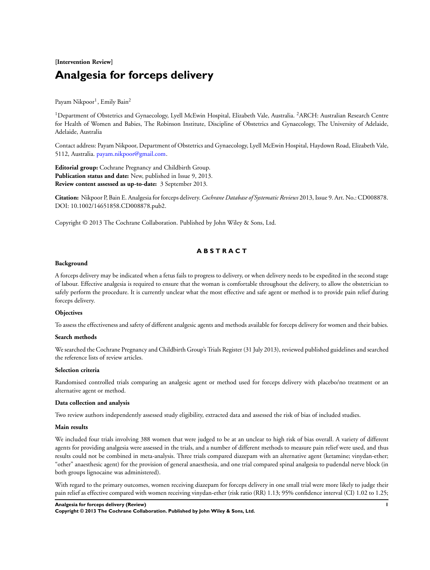# **[Intervention Review] Analgesia for forceps delivery**

Payam Nikpoor<sup>1</sup>, Emily Bain<sup>2</sup>

<sup>1</sup>Department of Obstetrics and Gynaecology, Lyell McEwin Hospital, Elizabeth Vale, Australia. <sup>2</sup>ARCH: Australian Research Centre for Health of Women and Babies, The Robinson Institute, Discipline of Obstetrics and Gynaecology, The University of Adelaide, Adelaide, Australia

Contact address: Payam Nikpoor, Department of Obstetrics and Gynaecology, Lyell McEwin Hospital, Haydown Road, Elizabeth Vale, 5112, Australia. [payam.nikpoor@gmail.com.](mailto:payam.nikpoor@gmail.com)

**Editorial group:** Cochrane Pregnancy and Childbirth Group. **Publication status and date:** New, published in Issue 9, 2013. **Review content assessed as up-to-date:** 3 September 2013.

**Citation:** Nikpoor P, Bain E. Analgesia for forceps delivery.*Cochrane Database of Systematic Reviews* 2013, Issue 9. Art. No.: CD008878. DOI: 10.1002/14651858.CD008878.pub2.

Copyright © 2013 The Cochrane Collaboration. Published by John Wiley & Sons, Ltd.

# **A B S T R A C T**

### **Background**

A forceps delivery may be indicated when a fetus fails to progress to delivery, or when delivery needs to be expedited in the second stage of labour. Effective analgesia is required to ensure that the woman is comfortable throughout the delivery, to allow the obstetrician to safely perform the procedure. It is currently unclear what the most effective and safe agent or method is to provide pain relief during forceps delivery.

# **Objectives**

To assess the effectiveness and safety of different analgesic agents and methods available for forceps delivery for women and their babies.

# **Search methods**

We searched the Cochrane Pregnancy and Childbirth Group's Trials Register (31 July 2013), reviewed published guidelines and searched the reference lists of review articles.

# **Selection criteria**

Randomised controlled trials comparing an analgesic agent or method used for forceps delivery with placebo/no treatment or an alternative agent or method.

### **Data collection and analysis**

Two review authors independently assessed study eligibility, extracted data and assessed the risk of bias of included studies.

### **Main results**

We included four trials involving 388 women that were judged to be at an unclear to high risk of bias overall. A variety of different agents for providing analgesia were assessed in the trials, and a number of different methods to measure pain relief were used, and thus results could not be combined in meta-analysis. Three trials compared diazepam with an alternative agent (ketamine; vinydan-ether; "other" anaesthesic agent) for the provision of general anaesthesia, and one trial compared spinal analgesia to pudendal nerve block (in both groups lignocaine was administered).

With regard to the primary outcomes, women receiving diazepam for forceps delivery in one small trial were more likely to judge their pain relief as effective compared with women receiving vinydan-ether (risk ratio (RR) 1.13; 95% confidence interval (CI) 1.02 to 1.25;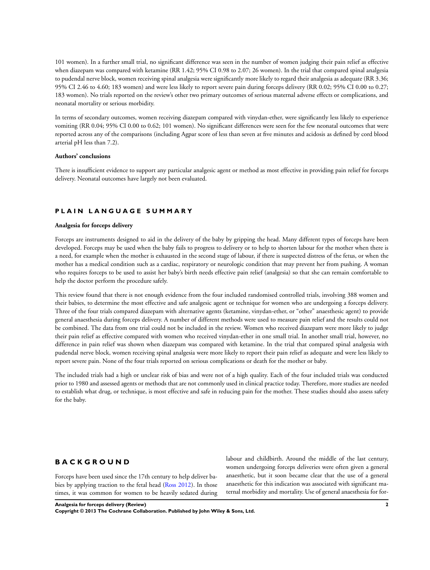<span id="page-3-0"></span>101 women). In a further small trial, no significant difference was seen in the number of women judging their pain relief as effective when diazepam was compared with ketamine (RR 1.42; 95% CI 0.98 to 2.07; 26 women). In the trial that compared spinal analgesia to pudendal nerve block, women receiving spinal analgesia were significantly more likely to regard their analgesia as adequate (RR 3.36; 95% CI 2.46 to 4.60; 183 women) and were less likely to report severe pain during forceps delivery (RR 0.02; 95% CI 0.00 to 0.27; 183 women). No trials reported on the review's other two primary outcomes of serious maternal adverse effects or complications, and neonatal mortality or serious morbidity.

In terms of secondary outcomes, women receiving diazepam compared with vinydan-ether, were significantly less likely to experience vomiting (RR 0.04; 95% CI 0.00 to 0.62; 101 women). No significant differences were seen for the few neonatal outcomes that were reported across any of the comparisons (including Agpar score of less than seven at five minutes and acidosis as defined by cord blood arterial pH less than 7.2).

### **Authors' conclusions**

There is insufficient evidence to support any particular analgesic agent or method as most effective in providing pain relief for forceps delivery. Neonatal outcomes have largely not been evaluated.

# **P L A I N L A N G U A G E S U M M A R Y**

#### **Analgesia for forceps delivery**

Forceps are instruments designed to aid in the delivery of the baby by gripping the head. Many different types of forceps have been developed. Forceps may be used when the baby fails to progress to delivery or to help to shorten labour for the mother when there is a need, for example when the mother is exhausted in the second stage of labour, if there is suspected distress of the fetus, or when the mother has a medical condition such as a cardiac, respiratory or neurologic condition that may prevent her from pushing. A woman who requires forceps to be used to assist her baby's birth needs effective pain relief (analgesia) so that she can remain comfortable to help the doctor perform the procedure safely.

This review found that there is not enough evidence from the four included randomised controlled trials, involving 388 women and their babies, to determine the most effective and safe analgesic agent or technique for women who are undergoing a forceps delivery. Three of the four trials compared diazepam with alternative agents (ketamine, vinydan-ether, or "other" anaesthesic agent) to provide general anaesthesia during forceps delivery. A number of different methods were used to measure pain relief and the results could not be combined. The data from one trial could not be included in the review. Women who received diazepam were more likely to judge their pain relief as effective compared with women who received vinydan-ether in one small trial. In another small trial, however, no difference in pain relief was shown when diazepam was compared with ketamine. In the trial that compared spinal analgesia with pudendal nerve block, women receiving spinal analgesia were more likely to report their pain relief as adequate and were less likely to report severe pain. None of the four trials reported on serious complications or death for the mother or baby.

The included trials had a high or unclear risk of bias and were not of a high quality. Each of the four included trials was conducted prior to 1980 and assessed agents or methods that are not commonly used in clinical practice today. Therefore, more studies are needed to establish what drug, or technique, is most effective and safe in reducing pain for the mother. These studies should also assess safety for the baby.

# **B A C K G R O U N D**

Forceps have been used since the 17th century to help deliver babies by applying traction to the fetal head [\(Ross 2012\)](#page-16-0). In those times, it was common for women to be heavily sedated during labour and childbirth. Around the middle of the last century, women undergoing forceps deliveries were often given a general anaesthetic, but it soon became clear that the use of a general anaesthetic for this indication was associated with significant maternal morbidity and mortality. Use of general anaesthesia for for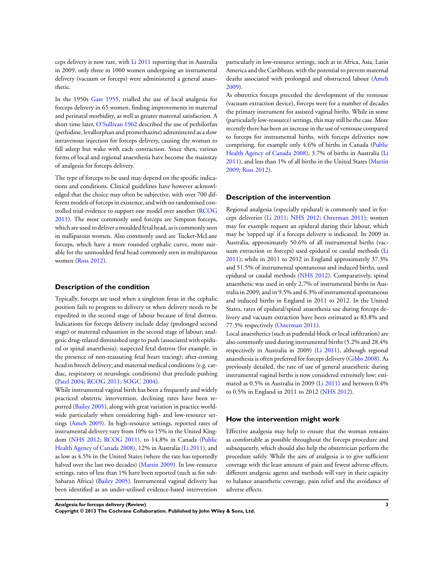ceps delivery is now rare, with [Li 2011](#page-16-0) reporting that in Australia in 2009, only three in 1000 women undergoing an instrumental delivery (vacuum or forceps) were administered a general anaesthetic.

In the 1950s [Gate 1955](#page-16-0), trialled the use of local analgesia for forceps delivery in 65 women, finding improvements in maternal and perinatal morbidity, as well as greater maternal satisfaction. A short time later, [O'Sullivan 1962](#page-16-0) described the use of pethilorfan (pethidine, levallorphan and promethazine) administered as a slow intravenous injection for forceps delivery, causing the woman to fall asleep but wake with each contraction. Since then, various forms of local and regional anaesthesia have become the mainstay of analgesia for forceps delivery.

The type of forceps to be used may depend on the specific indications and conditions. Clinical guidelines have however acknowledged that the choice may often be subjective, with over 700 different models of forceps in existence, and with no randomised controlled trial evidence to support one model over another ([RCOG](#page-16-0) [2011](#page-16-0)). The most commonly used forceps are Simpson forceps, which are used to deliver a moulded fetal head, as is commonly seen in nulliparous women. Also commonly used are Tucker-McLane forceps, which have a more rounded cephalic curve, more suitable for the unmoulded fetal head commonly seen in multiparous women [\(Ross 2012](#page-16-0)).

# **Description of the condition**

Typically, forceps are used when a singleton fetus in the cephalic position fails to progress to delivery or when delivery needs to be expedited in the second stage of labour because of fetal distress. Indications for forceps delivery include delay (prolonged second stage) or maternal exhaustion in the second stage of labour; analgesic drug-related diminished urge to push (associated with epidural or spinal anaesthesia); suspected fetal distress (for example, in the presence of non-reassuring fetal heart tracing); after-coming head in breech delivery; and maternal medical conditions (e.g. cardiac, respiratory or neurologic conditions) that preclude pushing [\(Patel 2004](#page-16-0); [RCOG 2011](#page-16-0); [SOGC 2004\)](#page-16-0).

While instrumental vaginal birth has been a frequently and widely practiced obstetric intervention, declining rates have been reported ([Bailey 2005\)](#page-16-0), along with great variation in practice worldwide particularly when considering high- and low-resource settings [\(Ameh 2009](#page-16-0)). In high-resource settings, reported rates of instrumental delivery vary from 10% to 15% in the United Kingdom [\(NHS 2012](#page-16-0); [RCOG 2011\)](#page-16-0), to 14.8% in Canada [\(Public](#page-16-0) [Health Agency of Canada 2008](#page-16-0)), 12% in Australia [\(Li 2011](#page-16-0)), and as low as 4.5% in the United States (where the rate has reportedly halved over the last two decades) ([Martin 2009](#page-16-0)). In low-resource settings, rates of less than 1% have been reported (such as for sub-Saharan Africa) ([Bailey 2005](#page-16-0)). Instrumental vaginal delivery has been identified as an under-utilised evidence-based intervention

particularly in low-resource settings, such as in Africa, Asia, Latin America and the Caribbean, with the potential to prevent maternal deaths associated with prolonged and obstructed labour [\(Ameh](#page-16-0) [2009](#page-16-0)).

As obstetrics forceps preceded the development of the ventouse (vacuum extraction device), forceps were for a number of decades the primary instrument for assisted vaginal births. While in some (particularly low-resource) settings, this may still be the case. More recently there has been an increase in the use of ventouse compared to forceps for instrumental births, with forceps deliveries now comprising, for example only 4.6% of births in Canada [\(Public](#page-16-0) [Health Agency of Canada 2008](#page-16-0)), 3.7% of births in Australia ([Li](#page-16-0) [2011](#page-16-0)), and less than 1% of all births in the United States ([Martin](#page-16-0) [2009](#page-16-0); [Ross 2012\)](#page-16-0).

# **Description of the intervention**

Regional analgesia (especially epidural) is commonly used in forceps deliveries ([Li 2011](#page-16-0); [NHS 2012;](#page-16-0) [Osterman 2011](#page-16-0)); women may for example request an epidural during their labour, which may be 'topped up' if a forceps delivery is indicated. In 2009 in Australia, approximately 50.6% of all instrumental births (vacuum extraction or forceps) used epidural or caudal methods ([Li](#page-16-0) [2011](#page-16-0)); while in 2011 to 2012 in England approximately 37.3% and 51.5% of instrumental spontaneous and induced births, used epidural or caudal methods [\(NHS 2012\)](#page-16-0). Comparatively, spinal anaesthetic was used in only 2.7% of instrumental births in Australia in 2009; and in 9.5% and 6.3% of instrumental spontaneous and induced births in England in 2011 to 2012. In the United States, rates of epidural/spinal anaesthesia use during forceps delivery and vacuum extraction have been estimated as 83.8% and 77.3% respectively ([Osterman 2011\)](#page-16-0).

Local anaesthetics (such as pudendal block or local infiltration) are also commonly used during instrumental births (5.2% and 28.4% respectively in Australia in 2009) ([Li 2011\)](#page-16-0), although regional anaesthesia is often preferred for forceps delivery [\(Gibbs 2008\)](#page-16-0). As previously detailed, the rate of use of general anaesthetic during instrumental vaginal births is now considered extremely low; estimated as 0.5% in Australia in 2009 ([Li 2011](#page-16-0)) and between 0.4% to 0.5% in England in 2011 to 2012 [\(NHS 2012](#page-16-0)).

# **How the intervention might work**

Effective analgesia may help to ensure that the woman remains as comfortable as possible throughout the forceps procedure and subsequently, which should also help the obstetrician perform the procedure safely. While the aim of analgesia is to give sufficient coverage with the least amount of pain and fewest adverse effects, different analgesic agents and methods will vary in their capacity to balance anaesthetic coverage, pain relief and the avoidance of adverse effects.

**Copyright © 2013 The Cochrane Collaboration. Published by John Wiley & Sons, Ltd.**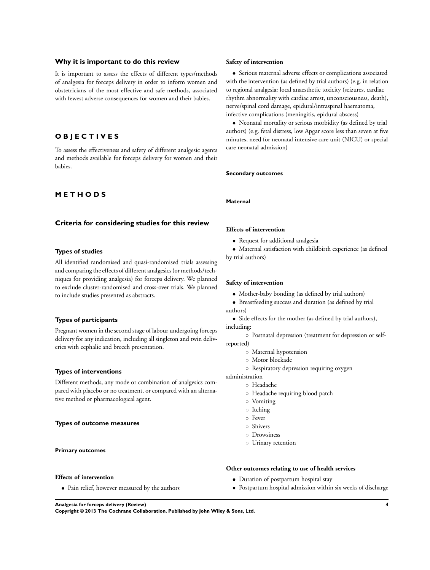### **Why it is important to do this review**

It is important to assess the effects of different types/methods of analgesia for forceps delivery in order to inform women and obstetricians of the most effective and safe methods, associated with fewest adverse consequences for women and their babies.

# **O B J E C T I V E S**

To assess the effectiveness and safety of different analgesic agents and methods available for forceps delivery for women and their babies.

# **M E T H O D S**

### **Criteria for considering studies for this review**

### **Types of studies**

All identified randomised and quasi-randomised trials assessing and comparing the effects of different analgesics (or methods/techniques for providing analgesia) for forceps delivery. We planned to exclude cluster-randomised and cross-over trials. We planned to include studies presented as abstracts.

### **Types of participants**

Pregnant women in the second stage of labour undergoing forceps delivery for any indication, including all singleton and twin deliveries with cephalic and breech presentation.

# **Types of interventions**

Different methods, any mode or combination of analgesics compared with placebo or no treatment, or compared with an alternative method or pharmacological agent.

### **Types of outcome measures**

#### **Primary outcomes**

### **Effects of intervention**

• Pain relief, however measured by the authors

#### **Safety of intervention**

• Serious maternal adverse effects or complications associated with the intervention (as defined by trial authors) (e.g. in relation to regional analgesia: local anaesthetic toxicity (seizures, cardiac rhythm abnormality with cardiac arrest, unconsciousness, death), nerve/spinal cord damage, epidural/intraspinal haematoma, infective complications (meningitis, epidural abscess)

• Neonatal mortality or serious morbidity (as defined by trial authors) (e.g. fetal distress, low Apgar score less than seven at five minutes, need for neonatal intensive care unit (NICU) or special care neonatal admission)

### **Secondary outcomes**

#### **Maternal**

#### **Effects of intervention**

- Request for additional analgesia
- Maternal satisfaction with childbirth experience (as defined by trial authors)

#### **Safety of intervention**

- Mother-baby bonding (as defined by trial authors)
- Breastfeeding success and duration (as defined by trial authors)
- Side effects for the mother (as defined by trial authors), including:
- Postnatal depression (treatment for depression or selfreported)
	- Maternal hypotension
	- Motor blockade
	- Respiratory depression requiring oxygen

administration

- Headache
- Headache requiring blood patch
- Vomiting
- Itching
- Fever
- Shivers
- Drowsiness
- Urinary retention

### **Other outcomes relating to use of health services**

- Duration of postpartum hospital stay
- Postpartum hospital admission within six weeks of discharge

**Analgesia for forceps delivery (Review) 4**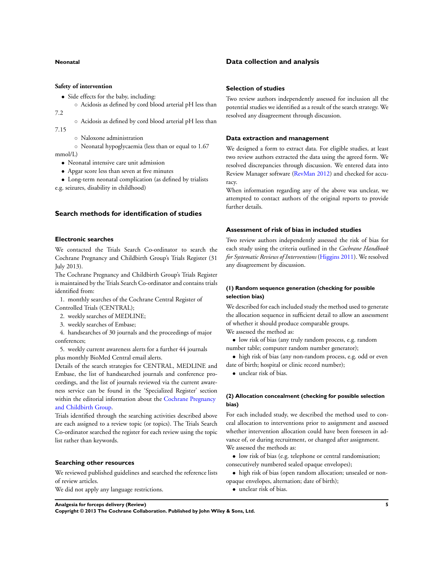### **Neonatal**

# **Safety of intervention**

- Side effects for the baby, including:
- Acidosis as defined by cord blood arterial pH less than 7.2
	- Acidosis as defined by cord blood arterial pH less than

7.15

- Naloxone administration
- Neonatal hypoglycaemia (less than or equal to 1.67 mmol/L)
	- Neonatal intensive care unit admission
	- Apgar score less than seven at five minutes
- Long-term neonatal complication (as defined by trialists e.g. seizures, disability in childhood)

# **Search methods for identification of studies**

### **Electronic searches**

We contacted the Trials Search Co-ordinator to search the Cochrane Pregnancy and Childbirth Group's Trials Register (31 July 2013).

The Cochrane Pregnancy and Childbirth Group's Trials Register is maintained by the Trials Search Co-ordinator and contains trials identified from:

- 1. monthly searches of the Cochrane Central Register of Controlled Trials (CENTRAL);
	- 2. weekly searches of MEDLINE;
- 3. weekly searches of Embase;

4. handsearches of 30 journals and the proceedings of major conferences;

5. weekly current awareness alerts for a further 44 journals plus monthly BioMed Central email alerts.

Details of the search strategies for CENTRAL, MEDLINE and Embase, the list of handsearched journals and conference proceedings, and the list of journals reviewed via the current awareness service can be found in the 'Specialized Register' section within the editorial information about the [Cochrane Pregnancy](http://www.mrw.interscience.wiley.com/cochrane/clabout/articles/PREG/frame.html) [and Childbirth Group](http://www.mrw.interscience.wiley.com/cochrane/clabout/articles/PREG/frame.html).

Trials identified through the searching activities described above are each assigned to a review topic (or topics). The Trials Search Co-ordinator searched the register for each review using the topic list rather than keywords.

### **Searching other resources**

We reviewed published guidelines and searched the reference lists of review articles.

We did not apply any language restrictions.

# **Data collection and analysis**

#### **Selection of studies**

Two review authors independently assessed for inclusion all the potential studies we identified as a result of the search strategy. We resolved any disagreement through discussion.

#### **Data extraction and management**

We designed a form to extract data. For eligible studies, at least two review authors extracted the data using the agreed form. We resolved discrepancies through discussion. We entered data into Review Manager software [\(RevMan 2012](#page-16-0)) and checked for accuracy.

When information regarding any of the above was unclear, we attempted to contact authors of the original reports to provide further details.

#### **Assessment of risk of bias in included studies**

Two review authors independently assessed the risk of bias for each study using the criteria outlined in the *Cochrane Handbook for Systematic Reviews of Interventions* [\(Higgins 2011](#page-16-0)). We resolved any disagreement by discussion.

# **(1) Random sequence generation (checking for possible selection bias)**

We described for each included study the method used to generate the allocation sequence in sufficient detail to allow an assessment of whether it should produce comparable groups.

We assessed the method as:

• low risk of bias (any truly random process, e.g. random number table; computer random number generator);

• high risk of bias (any non-random process, e.g. odd or even date of birth; hospital or clinic record number);

• unclear risk of bias.

# **(2) Allocation concealment (checking for possible selection bias)**

For each included study, we described the method used to conceal allocation to interventions prior to assignment and assessed whether intervention allocation could have been foreseen in advance of, or during recruitment, or changed after assignment. We assessed the methods as:

- low risk of bias (e.g. telephone or central randomisation; consecutively numbered sealed opaque envelopes);
- high risk of bias (open random allocation; unsealed or nonopaque envelopes, alternation; date of birth);
	- unclear risk of bias.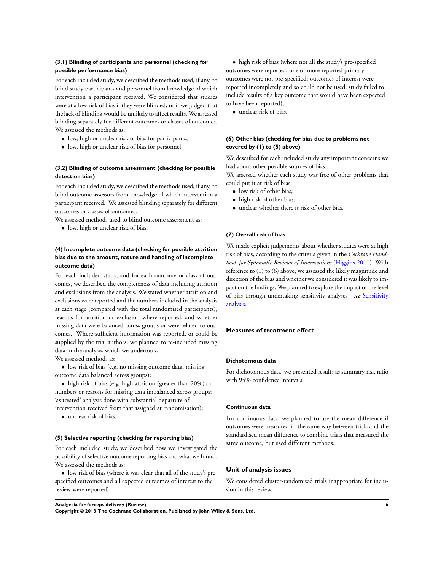# **(3.1) Blinding of participants and personnel (checking for possible performance bias)**

For each included study, we described the methods used, if any, to blind study participants and personnel from knowledge of which intervention a participant received. We considered that studies were at a low risk of bias if they were blinded, or if we judged that the lack of blinding would be unlikely to affect results. We assessed blinding separately for different outcomes or classes of outcomes. We assessed the methods as:

- low, high or unclear risk of bias for participants;
- low, high or unclear risk of bias for personnel.

# **(3.2) Blinding of outcome assessment (checking for possible detection bias)**

For each included study, we described the methods used, if any, to blind outcome assessors from knowledge of which intervention a participant received. We assessed blinding separately for different outcomes or classes of outcomes.

We assessed methods used to blind outcome assessment as:

• low, high or unclear risk of bias.

# **(4) Incomplete outcome data (checking for possible attrition bias due to the amount, nature and handling of incomplete outcome data)**

For each included study, and for each outcome or class of outcomes, we described the completeness of data including attrition and exclusions from the analysis. We stated whether attrition and exclusions were reported and the numbers included in the analysis at each stage (compared with the total randomised participants), reasons for attrition or exclusion where reported, and whether missing data were balanced across groups or were related to outcomes. Where sufficient information was reported, or could be supplied by the trial authors, we planned to re-included missing data in the analyses which we undertook.

We assessed methods as:

• low risk of bias (e.g. no missing outcome data; missing outcome data balanced across groups);

• high risk of bias (e.g. high attrition (greater than 20%) or numbers or reasons for missing data imbalanced across groups; 'as treated' analysis done with substantial departure of intervention received from that assigned at randomisation);

• unclear risk of bias.

### **(5) Selective reporting (checking for reporting bias)**

For each included study, we described how we investigated the possibility of selective outcome reporting bias and what we found. We assessed the methods as:

• low risk of bias (where it was clear that all of the study's prespecified outcomes and all expected outcomes of interest to the review were reported);

• high risk of bias (where not all the study's pre-specified outcomes were reported; one or more reported primary outcomes were not pre-specified; outcomes of interest were reported incompletely and so could not be used; study failed to include results of a key outcome that would have been expected to have been reported);

• unclear risk of bias.

# **(6) Other bias (checking for bias due to problems not covered by (1) to (5) above)**

We described for each included study any important concerns we had about other possible sources of bias.

We assessed whether each study was free of other problems that could put it at risk of bias:

- low risk of other bias;
- high risk of other bias;
- unclear whether there is risk of other bias.

### **(7) Overall risk of bias**

We made explicit judgements about whether studies were at high risk of bias, according to the criteria given in the *Cochrane Handbook for Systematic Reviews of Interventions* ([Higgins 2011](#page-16-0)). With reference to (1) to (6) above, we assessed the likely magnitude and direction of the bias and whether we considered it was likely to impact on the findings. We planned to explore the impact of the level of bias through undertaking sensitivity analyses - *see* [Sensitivity](#page-3-0) [analysis](#page-3-0).

### **Measures of treatment effect**

### **Dichotomous data**

For dichotomous data, we presented results as summary risk ratio with 95% confidence intervals.

### **Continuous data**

For continuous data, we planned to use the mean difference if outcomes were measured in the same way between trials and the standardised mean difference to combine trials that measured the same outcome, but used different methods.

#### **Unit of analysis issues**

We considered cluster-randomised trials inappropriate for inclusion in this review.

**Analgesia for forceps delivery (Review) 6**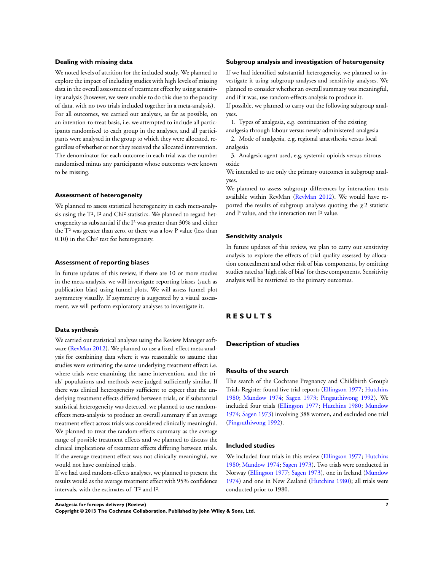### **Dealing with missing data**

We noted levels of attrition for the included study. We planned to explore the impact of including studies with high levels of missing data in the overall assessment of treatment effect by using sensitivity analysis (however, we were unable to do this due to the paucity of data, with no two trials included together in a meta-analysis). For all outcomes, we carried out analyses, as far as possible, on an intention-to-treat basis, i.e. we attempted to include all participants randomised to each group in the analyses, and all participants were analysed in the group to which they were allocated, regardless of whether or not they received the allocated intervention. The denominator for each outcome in each trial was the number randomised minus any participants whose outcomes were known to be missing.

# **Assessment of heterogeneity**

We planned to assess statistical heterogeneity in each meta-analysis using the T², I² and Chi² statistics. We planned to regard heterogeneity as substantial if the I² was greater than 30% and either the T² was greater than zero, or there was a low P value (less than 0.10) in the Chi² test for heterogeneity.

# **Assessment of reporting biases**

In future updates of this review, if there are 10 or more studies in the meta-analysis, we will investigate reporting biases (such as publication bias) using funnel plots. We will assess funnel plot asymmetry visually. If asymmetry is suggested by a visual assessment, we will perform exploratory analyses to investigate it.

# **Data synthesis**

We carried out statistical analyses using the Review Manager software ([RevMan 2012](#page-16-0)). We planned to use a fixed-effect meta-analysis for combining data where it was reasonable to assume that studies were estimating the same underlying treatment effect: i.e. where trials were examining the same intervention, and the trials' populations and methods were judged sufficiently similar. If there was clinical heterogeneity sufficient to expect that the underlying treatment effects differed between trials, or if substantial statistical heterogeneity was detected, we planned to use randomeffects meta-analysis to produce an overall summary if an average treatment effect across trials was considered clinically meaningful. We planned to treat the random-effects summary as the average range of possible treatment effects and we planned to discuss the clinical implications of treatment effects differing between trials. If the average treatment effect was not clinically meaningful, we would not have combined trials.

If we had used random-effects analyses, we planned to present the results would as the average treatment effect with 95% confidence intervals, with the estimates of T² and I².

#### **Subgroup analysis and investigation of heterogeneity**

If we had identified substantial heterogeneity, we planned to investigate it using subgroup analyses and sensitivity analyses. We planned to consider whether an overall summary was meaningful, and if it was, use random-effects analysis to produce it.

If possible, we planned to carry out the following subgroup analyses.

1. Types of analgesia, e.g. continuation of the existing

analgesia through labour versus newly administered analgesia 2. Mode of analgesia, e.g. regional anaesthesia versus local analgesia

3. Analgesic agent used, e.g. systemic opioids versus nitrous oxide

We intended to use only the primary outcomes in subgroup analyses.

We planned to assess subgroup differences by interaction tests available within RevMan ([RevMan 2012](#page-16-0)). We would have reported the results of subgroup analyses quoting the  $\chi$ 2 statistic and P value, and the interaction test I² value.

### **Sensitivity analysis**

In future updates of this review, we plan to carry out sensitivity analysis to explore the effects of trial quality assessed by allocation concealment and other risk of bias components, by omitting studies rated as 'high risk of bias' for these components. Sensitivity analysis will be restricted to the primary outcomes.

# **R E S U L T S**

# **Description of studies**

# **Results of the search**

The search of the Cochrane Pregnancy and Childbirth Group's Trials Register found five trial reports ([Ellingson 1977](#page-16-0); [Hutchins](#page-16-0) [1980](#page-16-0); [Mundow 1974;](#page-16-0) [Sagen 1973](#page-16-0); [Pingsuthiwong 1992\)](#page-16-0). We included four trials [\(Ellingson 1977](#page-16-0); [Hutchins 1980;](#page-16-0) [Mundow](#page-16-0) [1974](#page-16-0); [Sagen 1973](#page-16-0)) involving 388 women, and excluded one trial [\(Pingsuthiwong 1992](#page-16-0)).

### **Included studies**

We included four trials in this review ([Ellingson 1977](#page-16-0); [Hutchins](#page-16-0) [1980](#page-16-0); [Mundow 1974](#page-16-0); [Sagen 1973\)](#page-16-0). Two trials were conducted in Norway [\(Ellingson 1977](#page-16-0); [Sagen 1973](#page-16-0)), one in Ireland [\(Mundow](#page-16-0) [1974](#page-16-0)) and one in New Zealand ([Hutchins 1980\)](#page-16-0); all trials were conducted prior to 1980.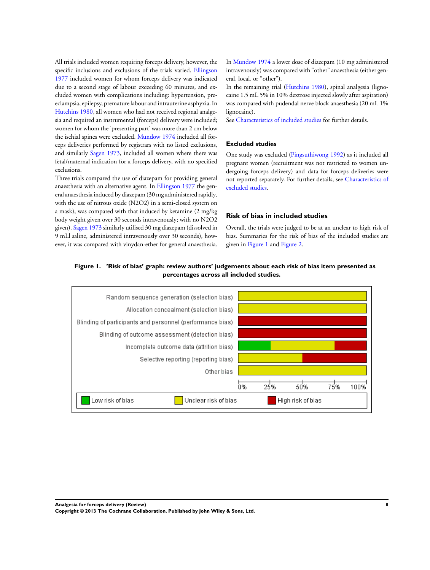All trials included women requiring forceps delivery, however, the specific inclusions and exclusions of the trials varied. [Ellingson](#page-16-0) [1977](#page-16-0) included women for whom forceps delivery was indicated due to a second stage of labour exceeding 60 minutes, and excluded women with complications including: hypertension, preeclampsia, epilepsy, premature labour and intrauterine asphyxia. In [Hutchins 1980,](#page-16-0) all women who had not received regional analgesia and required an instrumental (forceps) delivery were included; women for whom the 'presenting part' was more than 2 cm below the ischial spines were excluded. [Mundow 1974](#page-16-0) included all forceps deliveries performed by registrars with no listed exclusions, and similarly [Sagen 1973](#page-16-0), included all women where there was fetal/maternal indication for a forceps delivery, with no specified exclusions.

Three trials compared the use of diazepam for providing general anaesthesia with an alternative agent. In [Ellingson 1977](#page-16-0) the general anaesthesia induced by diazepam (30 mg administered rapidly, with the use of nitrous oxide (N2O2) in a semi-closed system on a mask), was compared with that induced by ketamine (2 mg/kg body weight given over 30 seconds intravenously; with no N2O2 given). [Sagen 1973](#page-16-0) similarly utilised 30 mg diazepam (dissolved in 9 mLl saline, administered intravenously over 30 seconds), however, it was compared with vinydan-ether for general anaesthesia.

In [Mundow 1974](#page-16-0) a lower dose of diazepam (10 mg administered intravenously) was compared with "other" anaesthesia (either general, local, or "other").

In the remaining trial [\(Hutchins 1980\)](#page-16-0), spinal analgesia (lignocaine 1.5 mL 5% in 10% dextrose injected slowly after aspiration) was compared with pudendal nerve block anaesthesia (20 mL 1% lignocaine).

See [Characteristics of included studies](#page-18-0) for further details.

### **Excluded studies**

One study was excluded [\(Pingsuthiwong 1992\)](#page-16-0) as it included all pregnant women (recruitment was not restricted to women undergoing forceps delivery) and data for forceps deliveries were not reported separately. For further details, see [Characteristics of](#page-23-0) [excluded studies.](#page-23-0)

### **Risk of bias in included studies**

Overall, the trials were judged to be at an unclear to high risk of bias. Summaries for the risk of bias of the included studies are given in Figure 1 and [Figure 2.](#page-10-0)

# **Figure 1. 'Risk of bias' graph: review authors' judgements about each risk of bias item presented as percentages across all included studies.**

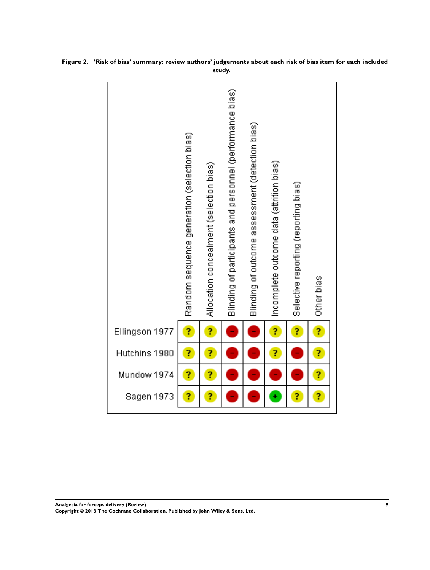|                | Random sequence generation (selection bias) | Allocation concealment (selection bias) | Blinding of participants and personnel (performance bias) | Blinding of outcome assessment (detection bias) | Incomplete outcome data (attrition bias) | Selective reporting (reporting bias) | Other bias |  |
|----------------|---------------------------------------------|-----------------------------------------|-----------------------------------------------------------|-------------------------------------------------|------------------------------------------|--------------------------------------|------------|--|
| Ellingson 1977 | ?                                           | Ĩ,                                      |                                                           | ÷                                               | ?                                        | Ĩ,                                   | ?          |  |
| Hutchins 1980  | 7                                           | ?                                       |                                                           |                                                 | ?                                        |                                      | ?          |  |
| Mundow 1974    | ?                                           | Ĩ,                                      |                                                           |                                                 |                                          |                                      | ?          |  |
| Sagen 1973     | ?                                           | ?                                       |                                                           |                                                 | ٠                                        | ?                                    | 7          |  |

<span id="page-10-0"></span>**Figure 2. 'Risk of bias' summary: review authors' judgements about each risk of bias item for each included study.**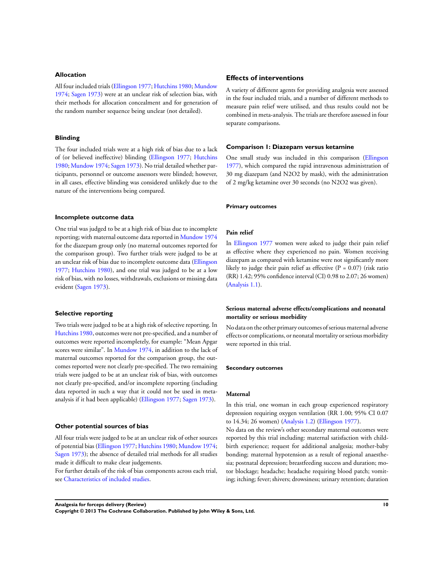# **Allocation**

All four included trials [\(Ellingson 1977](#page-16-0); [Hutchins 1980](#page-16-0); [Mundow](#page-16-0) [1974](#page-16-0); [Sagen 1973\)](#page-16-0) were at an unclear risk of selection bias, with their methods for allocation concealment and for generation of the random number sequence being unclear (not detailed).

### **Blinding**

The four included trials were at a high risk of bias due to a lack of (or believed ineffective) blinding [\(Ellingson 1977](#page-16-0); [Hutchins](#page-16-0) [1980](#page-16-0); [Mundow 1974;](#page-16-0) [Sagen 1973](#page-16-0)). No trial detailed whether participants, personnel or outcome assessors were blinded; however, in all cases, effective blinding was considered unlikely due to the nature of the interventions being compared.

#### **Incomplete outcome data**

One trial was judged to be at a high risk of bias due to incomplete reporting; with maternal outcome data reported in [Mundow 1974](#page-16-0) for the diazepam group only (no maternal outcomes reported for the comparison group). Two further trials were judged to be at an unclear risk of bias due to incomplete outcome data ([Ellingson](#page-16-0) [1977](#page-16-0); [Hutchins 1980](#page-16-0)), and one trial was judged to be at a low risk of bias, with no losses, withdrawals, exclusions or missing data evident ([Sagen 1973](#page-16-0)).

### **Selective reporting**

Two trials were judged to be at a high risk of selective reporting. In [Hutchins 1980](#page-16-0), outcomes were not pre-specified, and a number of outcomes were reported incompletely, for example: "Mean Apgar scores were similar". In [Mundow 1974](#page-16-0), in addition to the lack of maternal outcomes reported for the comparison group, the outcomes reported were not clearly pre-specified. The two remaining trials were judged to be at an unclear risk of bias, with outcomes not clearly pre-specified, and/or incomplete reporting (including data reported in such a way that it could not be used in metaanalysis if it had been applicable) ([Ellingson 1977;](#page-16-0) [Sagen 1973\)](#page-16-0).

#### **Other potential sources of bias**

All four trials were judged to be at an unclear risk of other sources of potential bias [\(Ellingson 1977](#page-16-0); [Hutchins 1980](#page-16-0); [Mundow 1974;](#page-16-0) [Sagen 1973\)](#page-16-0); the absence of detailed trial methods for all studies made it difficult to make clear judgements.

For further details of the risk of bias components across each trial, see [Characteristics of included studies.](#page-18-0)

### **Effects of interventions**

A variety of different agents for providing analgesia were assessed in the four included trials, and a number of different methods to measure pain relief were utilised, and thus results could not be combined in meta-analysis. The trials are therefore assessed in four separate comparisons.

#### **Comparison 1: Diazepam versus ketamine**

One small study was included in this comparison ([Ellingson](#page-16-0) [1977](#page-16-0)), which compared the rapid intravenous administration of 30 mg diazepam (and N2O2 by mask), with the administration of 2 mg/kg ketamine over 30 seconds (no N2O2 was given).

#### **Primary outcomes**

### **Pain relief**

In [Ellingson 1977](#page-16-0) women were asked to judge their pain relief as effective where they experienced no pain. Women receiving diazepam as compared with ketamine were not significantly more likely to judge their pain relief as effective  $(P = 0.07)$  (risk ratio (RR) 1.42; 95% confidence interval (CI) 0.98 to 2.07; 26 women) [\(Analysis 1.1\)](#page-25-0).

# **Serious maternal adverse effects/complications and neonatal mortality or serious morbidity**

No data on the other primary outcomes of serious maternal adverse effects or complications, or neonatal mortality or serious morbidity were reported in this trial.

### **Secondary outcomes**

#### **Maternal**

In this trial, one woman in each group experienced respiratory depression requiring oxygen ventilation (RR 1.00; 95% CI 0.07 to 14.34; 26 women) [\(Analysis 1.2](#page-26-0)) [\(Ellingson 1977](#page-16-0)).

No data on the review's other secondary maternal outcomes were reported by this trial including: maternal satisfaction with childbirth experience; request for additional analgesia; mother-baby bonding; maternal hypotension as a result of regional anaesthesia; postnatal depression; breastfeeding success and duration; motor blockage; headache; headache requiring blood patch; vomiting; itching; fever; shivers; drowsiness; urinary retention; duration

**Analgesia for forceps delivery (Review) 10 Copyright © 2013 The Cochrane Collaboration. Published by John Wiley & Sons, Ltd.**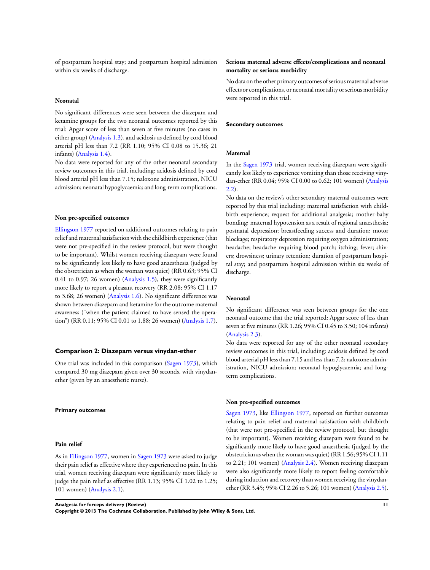of postpartum hospital stay; and postpartum hospital admission within six weeks of discharge.

#### **Neonatal**

No significant differences were seen between the diazepam and ketamine groups for the two neonatal outcomes reported by this trial: Apgar score of less than seven at five minutes (no cases in either group) ([Analysis 1.3](#page-27-0)), and acidosis as defined by cord blood arterial pH less than 7.2 (RR 1.10; 95% CI 0.08 to 15.36; 21 infants) ([Analysis 1.4\)](#page-27-0).

No data were reported for any of the other neonatal secondary review outcomes in this trial, including: acidosis defined by cord blood arterial pH less than 7.15; naloxone administration, NICU admission; neonatal hypoglycaemia; and long-term complications.

# **Non pre-specified outcomes**

[Ellingson 1977](#page-16-0) reported on additional outcomes relating to pain relief and maternal satisfaction with the childbirth experience (that were not pre-specified in the review protocol, but were thought to be important). Whilst women receiving diazepam were found to be significantly less likely to have good anaesthesia (judged by the obstetrician as when the woman was quiet) (RR 0.63; 95% CI 0.41 to 0.97; 26 women) [\(Analysis 1.5\)](#page-27-0), they were significantly more likely to report a pleasant recovery (RR 2.08; 95% CI 1.17 to 3.68; 26 women) [\(Analysis 1.6](#page-28-0)). No significant difference was shown between diazepam and ketamine for the outcome maternal awareness ("when the patient claimed to have sensed the operation") (RR 0.11; 95% CI 0.01 to 1.88; 26 women) ([Analysis 1.7](#page-28-0)).

#### **Comparison 2: Diazepam versus vinydan-ether**

One trial was included in this comparison [\(Sagen 1973](#page-16-0)), which compared 30 mg diazepam given over 30 seconds, with vinydanether (given by an anaesthetic nurse).

#### **Primary outcomes**

# **Pain relief**

As in [Ellingson 1977](#page-16-0), women in [Sagen 1973](#page-16-0) were asked to judge their pain relief as effective where they experienced no pain. In this trial, women receiving diazepam were significantly more likely to judge the pain relief as effective (RR 1.13; 95% CI 1.02 to 1.25; 101 women) ([Analysis 2.1](#page-29-0)).

### **Serious maternal adverse effects/complications and neonatal mortality or serious morbidity**

No data on the other primary outcomes of serious maternal adverse effects or complications, or neonatal mortality or serious morbidity were reported in this trial.

### **Secondary outcomes**

### **Maternal**

In the [Sagen 1973](#page-16-0) trial, women receiving diazepam were significantly less likely to experience vomiting than those receiving vinydan-ether (RR 0.04; 95% CI 0.00 to 0.62; 101 women) ([Analysis](#page-29-0) [2.2](#page-29-0)).

No data on the review's other secondary maternal outcomes were reported by this trial including: maternal satisfaction with childbirth experience; request for additional analgesia; mother-baby bonding; maternal hypotension as a result of regional anaesthesia; postnatal depression; breastfeeding success and duration; motor blockage; respiratory depression requiring oxygen administration; headache; headache requiring blood patch; itching; fever; shivers; drowsiness; urinary retention; duration of postpartum hospital stay; and postpartum hospital admission within six weeks of discharge.

#### **Neonatal**

No significant difference was seen between groups for the one neonatal outcome that the trial reported: Apgar score of less than seven at five minutes (RR 1.26; 95% CI 0.45 to 3.50; 104 infants) [\(Analysis 2.3\)](#page-30-0).

No data were reported for any of the other neonatal secondary review outcomes in this trial, including: acidosis defined by cord blood arterial pH less than 7.15 and less than 7.2; naloxone administration, NICU admission; neonatal hypoglycaemia; and longterm complications.

### **Non pre-specified outcomes**

[Sagen 1973](#page-16-0), like [Ellingson 1977](#page-16-0), reported on further outcomes relating to pain relief and maternal satisfaction with childbirth (that were not pre-specified in the review protocol, but thought to be important). Women receiving diazepam were found to be significantly more likely to have good anaesthesia (judged by the obstetrician as when the woman was quiet) (RR 1.56; 95% CI 1.11 to 2.21; 101 women) ([Analysis 2.4\)](#page-30-0). Women receiving diazepam were also significantly more likely to report feeling comfortable during induction and recovery than women receiving the vinydanether (RR 3.45; 95% CI 2.26 to 5.26; 101 women) ([Analysis 2.5](#page-31-0)).

**Analgesia for forceps delivery (Review) 11**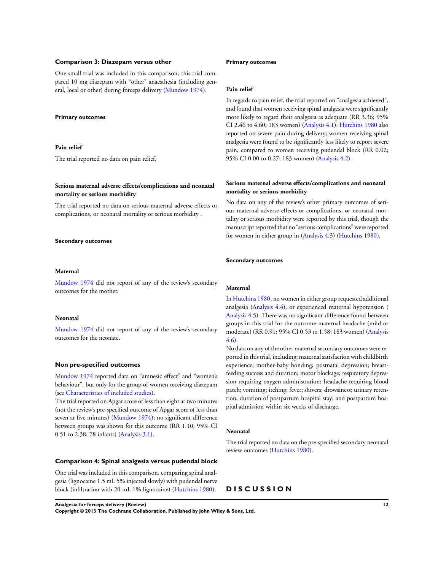#### **Comparison 3: Diazepam versus other**

One small trial was included in this comparison; this trial compared 10 mg diazepam with "other" anaesthesia (including general, local or other) during forceps delivery [\(Mundow 1974](#page-16-0)).

#### **Primary outcomes**

#### **Pain relief**

The trial reported no data on pain relief,

### **Serious maternal adverse effects/complications and neonatal mortality or serious morbidity**

The trial reported no data on serious maternal adverse effects or complications, or neonatal mortality or serious morbidity .

### **Secondary outcomes**

#### **Maternal**

[Mundow 1974](#page-16-0) did not report of any of the review's secondary outcomes for the mother.

#### **Neonatal**

[Mundow 1974](#page-16-0) did not report of any of the review's secondary outcomes for the neonate.

### **Non pre-specified outcomes**

[Mundow 1974](#page-16-0) reported data on "amnesic effect" and "women's behaviour", but only for the group of women receiving diazepam (see [Characteristics of included studies\)](#page-18-0).

The trial reported on Apgar score of less than eight at two minutes (not the review's pre-specified outcome of Apgar score of less than seven at five minutes) [\(Mundow 1974\)](#page-16-0); no significant difference between groups was shown for this outcome (RR 1.10; 95% CI 0.51 to 2.38; 78 infants) ([Analysis 3.1\)](#page-31-0).

#### **Comparison 4: Spinal analgesia versus pudendal block**

One trial was included in this comparison, comparing spinal analgesia (lignocaine 1.5 mL 5% injected slowly) with pudendal nerve block (infiltration with 20 mL 1% lignocaine) [\(Hutchins 1980](#page-16-0)).

#### **Pain relief**

In regards to pain relief, the trial reported on "analgesia achieved", and found that women receiving spinal analgesia were significantly more likely to regard their analgesia as adequate (RR 3.36; 95% CI 2.46 to 4.60; 183 women) [\(Analysis 4.1\)](#page-32-0). [Hutchins 1980](#page-16-0) also reported on severe pain during delivery; women receiving spinal analgesia were found to be significantly less likely to report severe pain, compared to women receiving pudendal block (RR 0.02; 95% CI 0.00 to 0.27; 183 women) ([Analysis 4.2](#page-32-0)).

# **Serious maternal adverse effects/complications and neonatal mortality or serious morbidity**

No data on any of the review's other primary outcomes of serious maternal adverse effects or complications, or neonatal mortality or serious morbidity were reported by this trial, though the manuscript reported that no "serious complications" were reported for women in either group in ([Analysis 4.3](#page-33-0)) [\(Hutchins 1980](#page-16-0)).

### **Secondary outcomes**

#### **Maternal**

In [Hutchins 1980,](#page-16-0) no women in either group requested additional analgesia ([Analysis 4.4\)](#page-33-0), or experienced maternal hypotension ( [Analysis 4.5](#page-34-0)). There was no significant difference found between groups in this trial for the outcome maternal headache (mild or moderate) (RR 0.91; 95% CI 0.53 to 1.58; 183 women) ([Analysis](#page-34-0) [4.6](#page-34-0)).

No data on any of the other maternal secondary outcomes were reported in this trial, including: maternal satisfaction with childbirth experience; mother-baby bonding; postnatal depression; breastfeeding success and duration; motor blockage; respiratory depression requiring oxygen administration; headache requiring blood patch; vomiting; itching; fever; shivers; drowsiness; urinary retention; duration of postpartum hospital stay; and postpartum hospital admission within six weeks of discharge.

#### **Neonatal**

The trial reported no data on the pre-specified secondary neonatal review outcomes [\(Hutchins 1980\)](#page-16-0).

# **D I S C U S S I O N**

**Analgesia for forceps delivery (Review) 12**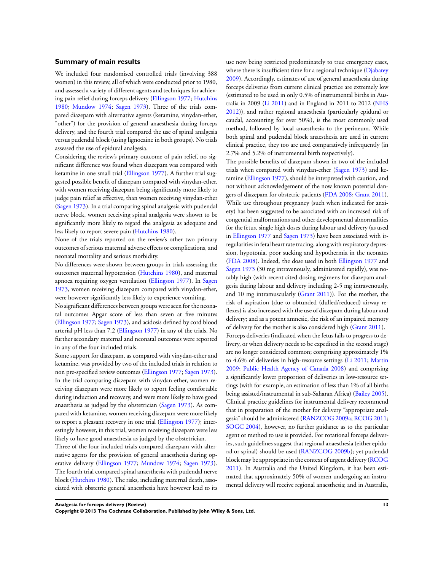#### **Summary of main results**

We included four randomised controlled trials (involving 388 women) in this review, all of which were conducted prior to 1980, and assessed a variety of different agents and techniques for achieving pain relief during forceps delivery [\(Ellingson 1977](#page-16-0); [Hutchins](#page-16-0) [1980](#page-16-0); [Mundow 1974](#page-16-0); [Sagen 1973\)](#page-16-0). Three of the trials compared diazepam with alternative agents (ketamine, vinydan-ether, "other") for the provision of general anaesthesia during forceps delivery, and the fourth trial compared the use of spinal analgesia versus pudendal block (using lignocaine in both groups). No trials assessed the use of epidural analgesia.

Considering the review's primary outcome of pain relief, no significant difference was found when diazepam was compared with ketamine in one small trial ([Ellingson 1977](#page-16-0)). A further trial suggested possible benefit of diazepam compared with vinydan-ether, with women receiving diazepam being significantly more likely to judge pain relief as effective, than women receiving vinydan-ether [\(Sagen 1973](#page-16-0)). In a trial comparing spinal analgesia with pudendal nerve block, women receiving spinal analgesia were shown to be significantly more likely to regard the analgesia as adequate and less likely to report severe pain ([Hutchins 1980\)](#page-16-0).

None of the trials reported on the review's other two primary outcomes of serious maternal adverse effects or complications, and neonatal mortality and serious morbidity.

No differences were shown between groups in trials assessing the outcomes maternal hypotension ([Hutchins 1980](#page-16-0)), and maternal apnoea requiring oxygen ventilation ([Ellingson 1977](#page-16-0)). In [Sagen](#page-16-0) [1973](#page-16-0), women receiving diazepam compared with vinydan-ether, were however significantly less likely to experience vomiting.

No significant differences between groups were seen for the neonatal outcomes Apgar score of less than seven at five minutes [\(Ellingson 1977;](#page-16-0) [Sagen 1973\)](#page-16-0), and acidosis defined by cord blood arterial pH less than 7.2 ([Ellingson 1977\)](#page-16-0) in any of the trials. No further secondary maternal and neonatal outcomes were reported in any of the four included trials.

Some support for diazepam, as compared with vinydan-ether and ketamine, was provided by two of the included trials in relation to non pre-specified review outcomes [\(Ellingson 1977;](#page-16-0) [Sagen 1973](#page-16-0)). In the trial comparing diazepam with vinydan-ether, women receiving diazepam were more likely to report feeling comfortable during induction and recovery, and were more likely to have good anaesthesia as judged by the obstetrician [\(Sagen 1973](#page-16-0)). As compared with ketamine, women receiving diazepam were more likely to report a pleasant recovery in one trial [\(Ellingson 1977](#page-16-0)); interestingly however, in this trial, women receiving diazepam were less likely to have good anaesthesia as judged by the obstetrician.

Three of the four included trials compared diazepam with alternative agents for the provision of general anaesthesia during operative delivery ([Ellingson 1977;](#page-16-0) [Mundow 1974;](#page-16-0) [Sagen 1973](#page-16-0)). The fourth trial compared spinal anaesthesia with pudendal nerve block ([Hutchins 1980](#page-16-0)). The risks, including maternal death, associated with obstetric general anaesthesia have however lead to its use now being restricted predominately to true emergency cases, where there is insufficient time for a regional technique ([Djabatey](#page-16-0) [2009](#page-16-0)). Accordingly, estimates of use of general anaesthesia during forceps deliveries from current clinical practice are extremely low (estimated to be used in only 0.5% of instrumental births in Australia in 2009 [\(Li 2011](#page-16-0)) and in England in 2011 to 2012 [\(NHS](#page-16-0) [2012](#page-16-0))), and rather regional anaesthesia (particularly epidural or caudal, accounting for over 50%), is the most commonly used method, followed by local anaesthesia to the perineum. While both spinal and pudendal block anaesthesia are used in current clinical practice, they too are used comparatively infrequently (in 2.7% and 5.2% of instrumental birth respectively).

The possible benefits of diazepam shown in two of the included trials when compared with vinydan-ether ([Sagen 1973\)](#page-16-0) and ketamine [\(Ellingson 1977\)](#page-16-0), should be interpreted with caution, and not without acknowledgement of the now known potential dangers of diazepam for obstetric patients ([FDA 2008;](#page-16-0) [Grant 2011](#page-16-0)). While use throughout pregnancy (such when indicated for anxiety) has been suggested to be associated with an increased risk of congential malformations and other developmental abnormalities for the fetus, single high doses during labour and delivery (as used in [Ellingson 1977](#page-16-0) and [Sagen 1973\)](#page-16-0) have been associated with irregularities in fetal heart rate tracing, along with respiratory depression, hypotonia, poor sucking and hypothermia in the neonates [\(FDA 2008](#page-16-0)). Indeed, the dose used in both [Ellingson 1977](#page-16-0) and [Sagen 1973](#page-16-0) (30 mg intravenously, administered rapidly), was notably high (with recent cited dosing regimens for diazepam analgesia during labour and delivery including 2-5 mg intravenously, and 10 mg intramuscularly [\(Grant 2011](#page-16-0))). For the mother, the risk of aspiration (due to obtunded (dulled/reduced) airway reflexes) is also increased with the use of diazepam during labour and delivery; and as a potent amnesic, the risk of an impaired memory of delivery for the mother is also considered high ([Grant 2011\)](#page-16-0). Forceps deliveries (indicated when the fetus fails to progress to delivery, or when delivery needs to be expedited in the second stage) are no longer considered common; comprising approximately 1% to 4.6% of deliveries in high-resource settings [\(Li 2011;](#page-16-0) [Martin](#page-16-0) [2009](#page-16-0); [Public Health Agency of Canada 2008\)](#page-16-0) and comprising a significantly lower proportion of deliveries in low-resource settings (with for example, an estimation of less than 1% of all births being assisted/instrumental in sub-Saharan Africa) ([Bailey 2005](#page-16-0)). Clinical practice guidelines for instrumental delivery recommend that in preparation of the mother for delivery "appropriate analgesia" should be administered ([RANZCOG 2009a;](#page-16-0) [RCOG 2011;](#page-16-0) [SOGC 2004](#page-16-0)), however, no further guidance as to the particular agent or method to use is provided. For rotational forceps deliveries, such guidelines suggest that regional anaesthesia (either epidural or spinal) should be used ([RANZCOG 2009b\)](#page-16-0); yet pudendal block may be appropriate in the context of urgent delivery [\(RCOG](#page-16-0) [2011](#page-16-0)). In Australia and the United Kingdom, it has been estimated that approximately 50% of women undergoing an instrumental delivery will receive regional anaesthesia; and in Australia,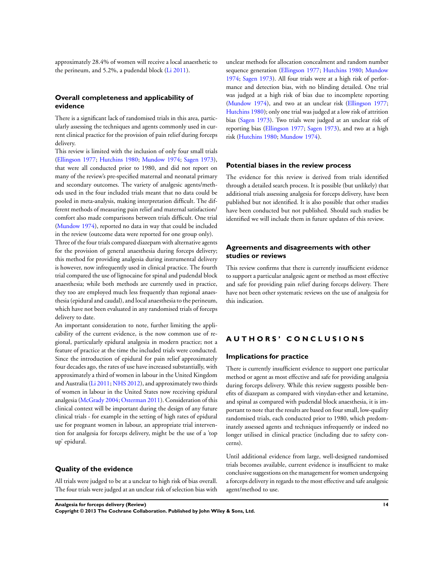approximately 28.4% of women will receive a local anaesthetic to the perineum, and 5.2%, a pudendal block ([Li 2011](#page-16-0)).

# **Overall completeness and applicability of evidence**

There is a significant lack of randomised trials in this area, particularly assessing the techniques and agents commonly used in current clinical practice for the provision of pain relief during forceps delivery.

This review is limited with the inclusion of only four small trials [\(Ellingson 1977;](#page-16-0) [Hutchins 1980](#page-16-0); [Mundow 1974;](#page-16-0) [Sagen 1973](#page-16-0)), that were all conducted prior to 1980, and did not report on many of the review's pre-specified maternal and neonatal primary and secondary outcomes. The variety of analgesic agents/methods used in the four included trials meant that no data could be pooled in meta-analysis, making interpretation difficult. The different methods of measuring pain relief and maternal satisfaction/ comfort also made comparisons between trials difficult. One trial [\(Mundow 1974](#page-16-0)), reported no data in way that could be included in the review (outcome data were reported for one group only).

Three of the four trials compared diazepam with alternative agents for the provision of general anaesthesia during forceps delivery; this method for providing analgesia during instrumental delivery is however, now infrequently used in clinical practice. The fourth trial compared the use of lignocaine for spinal and pudendal block anaesthesia; while both methods are currently used in practice, they too are employed much less frequently than regional anaesthesia (epidural and caudal), and local anaesthesia to the perineum, which have not been evaluated in any randomised trials of forceps delivery to date.

An important consideration to note, further limiting the applicability of the current evidence, is the now common use of regional, particularly epidural analgesia in modern practice; not a feature of practice at the time the included trials were conducted. Since the introduction of epidural for pain relief approximately four decades ago, the rates of use have increased substantially, with approximately a third of women in labour in the United Kingdom and Australia ([Li 2011](#page-16-0); [NHS 2012](#page-16-0)), and approximately two thirds of women in labour in the United States now receiving epidural analgesia [\(McGrady 2004](#page-16-0); [Osterman 2011](#page-16-0)). Consideration of this clinical context will be important during the design of any future clinical trials - for example in the setting of high rates of epidural use for pregnant women in labour, an appropriate trial intervention for analgesia for forceps delivery, might be the use of a 'top up' epidural.

### **Quality of the evidence**

All trials were judged to be at a unclear to high risk of bias overall. The four trials were judged at an unclear risk of selection bias with unclear methods for allocation concealment and random number sequence generation [\(Ellingson 1977;](#page-16-0) [Hutchins 1980](#page-16-0); [Mundow](#page-16-0) [1974](#page-16-0); [Sagen 1973\)](#page-16-0). All four trials were at a high risk of performance and detection bias, with no blinding detailed. One trial was judged at a high risk of bias due to incomplete reporting [\(Mundow 1974\)](#page-16-0), and two at an unclear risk ([Ellingson 1977;](#page-16-0) [Hutchins 1980\)](#page-16-0); only one trial was judged at a low risk of attrition bias ([Sagen 1973\)](#page-16-0). Two trials were judged at an unclear risk of reporting bias [\(Ellingson 1977;](#page-16-0) [Sagen 1973](#page-16-0)), and two at a high risk ([Hutchins 1980;](#page-16-0) [Mundow 1974](#page-16-0)).

#### **Potential biases in the review process**

The evidence for this review is derived from trials identified through a detailed search process. It is possible (but unlikely) that additional trials assessing analgesia for forceps delivery, have been published but not identified. It is also possible that other studies have been conducted but not published. Should such studies be identified we will include them in future updates of this review.

# **Agreements and disagreements with other studies or reviews**

This review confirms that there is currently insufficient evidence to support a particular analgesic agent or method as most effective and safe for providing pain relief during forceps delivery. There have not been other systematic reviews on the use of analgesia for this indication.

# **A U T H O R S ' C O N C L U S I O N S**

# **Implications for practice**

There is currently insufficient evidence to support one particular method or agent as most effective and safe for providing analgesia during forceps delivery. While this review suggests possible benefits of diazepam as compared with vinydan-ether and ketamine, and spinal as compared with pudendal block anaesthesia, it is important to note that the results are based on four small, low-quality randomised trials, each conducted prior to 1980, which predominately assessed agents and techniques infrequently or indeed no longer utilised in clinical practice (including due to safety concerns).

Until additional evidence from large, well-designed randomised trials becomes available, current evidence is insufficient to make conclusive suggestions on the management for women undergoing a forceps delivery in regards to the most effective and safe analgesic agent/method to use.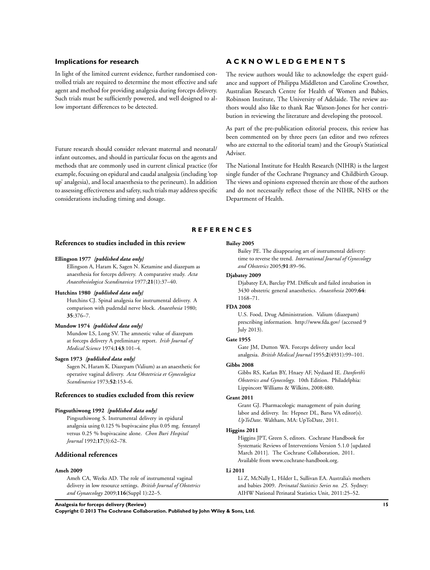### <span id="page-16-0"></span>**Implications for research**

In light of the limited current evidence, further randomised controlled trials are required to determine the most effective and safe agent and method for providing analgesia during forceps delivery. Such trials must be sufficiently powered, and well designed to allow important differences to be detected.

Future research should consider relevant maternal and neonatal/ infant outcomes, and should in particular focus on the agents and methods that are commonly used in current clinical practice (for example, focusing on epidural and caudal analgesia (including 'top up' analgesia), and local anaesthesia to the perineum). In addition to assessing effectiveness and safety, such trials may address specific considerations including timing and dosage.

# **A C K N O W L E D G E M E N T S**

The review authors would like to acknowledge the expert guidance and support of Philippa Middleton and Caroline Crowther, Australian Research Centre for Health of Women and Babies, Robinson Institute, The University of Adelaide. The review authors would also like to thank Rae Watson-Jones for her contribution in reviewing the literature and developing the protocol.

As part of the pre-publication editorial process, this review has been commented on by three peers (an editor and two referees who are external to the editorial team) and the Group's Statistical Adviser.

The National Institute for Health Research (NIHR) is the largest single funder of the Cochrane Pregnancy and Childbirth Group. The views and opinions expressed therein are those of the authors and do not necessarily reflect those of the NIHR, NHS or the Department of Health.

# **R E F E R E N C E S**

#### **References to studies included in this review**

## **Ellingson 1977** *{published data only}*

Ellingson A, Haram K, Sagen N. Ketamine and diazepam as anaesthesia for forceps delivery. A comparative study. *Acta Anaesthesiologica Scandinavica* 1977;**21**(1):37–40.

### **Hutchins 1980** *{published data only}*

Hutchins CJ. Spinal analgesia for instrumental delivery. A comparison with pudendal nerve block. *Anaesthesia* 1980; **35**:376–7.

# **Mundow 1974** *{published data only}*

Mundow LS, Long SV. The amnestic value of diazepam at forceps delivery A preliminary report. *Irish Journal of Medical Science* 1974;**143**:101–4.

### **Sagen 1973** *{published data only}*

Sagen N, Haram K. Diazepam (Valium) as an anaesthetic for operative vaginal delivery. *Acta Obstetricia et Gynecologica Scandinavica* 1973;**52**:153–6.

### **References to studies excluded from this review**

#### **Pingsuthiwong 1992** *{published data only}*

Pingsuthiwong S. Instrumental delivery in epidural analgesia using 0.125 % bupivacaine plus 0.05 mg. fentanyl versus 0.25 % bupivacaine alone. *Chon Buri Hospital Journal* 1992;**17**(3):62–78.

# **Additional references**

### **Ameh 2009**

Ameh CA, Weeks AD. The role of instrumental vaginal delivery in low resource settings. *British Journal of Obstetrics and Gynaecology* 2009;**116**(Suppl 1):22–5.

#### **Bailey 2005**

Bailey PE. The disappearing art of instrumental delivery: time to reverse the trend. *International Journal of Gynecology and Obstetrics* 2005;**91**:89–96.

#### **Djabatey 2009**

Djabatey EA, Barclay PM. Difficult and failed intubation in 3430 obstetric general anaesthetics. *Anaesthesia* 2009;**64**: 1168–71.

#### **FDA 2008**

U.S. Food, Drug Administration. Valium (diazepam) prescribing information. http://www.fda.gov/ (accessed 9 July 2013).

#### **Gate 1955**

Gate JM, Dutton WA. Forceps delivery under local analgesia. *British Medical Journal* 1955;**2**(4931):99–101.

### **Gibbs 2008**

Gibbs RS, Karlan BY, Hnaey AF, Nydaard IE. *Danforth's Obstetrics and Gynecology*. 10th Edition. Philadelphia: Lippincott Williams & Wilkins, 2008:480.

#### **Grant 2011**

Grant GJ. Pharmacologic management of pain during labor and delivery. In: Hepner DL, Barss VA editor(s). *UpToDate*. Waltham, MA: UpToDate, 2011.

# **Higgins 2011**

Higgins JPT, Green S, editors. Cochrane Handbook for Systematic Reviews of Interventions Version 5.1.0 [updated March 2011]. The Cochrane Collaboration, 2011. Available from www.cochrane-handbook.org.

#### **Li 2011**

Li Z, McNally L, Hilder L, Sullivan EA. Australia's mothers and babies 2009. *Perinatal Statistics Series no. 25*. Sydney: AIHW National Perinatal Statistics Unit, 2011:25–52.

**Analgesia for forceps delivery (Review) 15**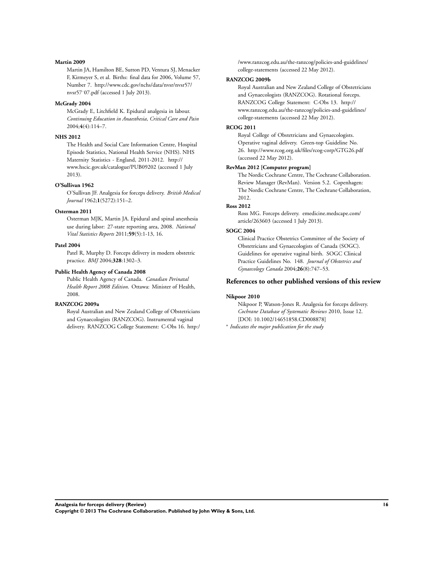#### **Martin 2009**

Martin JA, Hamilton BE, Sutton PD, Ventura SJ, Menacker F, Kirmeyer S, et al. Births: final data for 2006, Volume 57, Number 7. http://www.cdc.gov/nchs/data/nvsr/nvsr57/ nvsr57˙07.pdf (accessed 1 July 2013).

# **McGrady 2004**

McGrady E, Litchfield K. Epidural analgesia in labour. *Continuing Education in Anaesthesia, Critical Care and Pain* 2004;**4**(4):114–7.

### **NHS 2012**

The Health and Social Care Information Centre, Hospital Episode Statistics, National Health Service (NHS). NHS Maternity Statistics - England, 2011-2012. http:// www.hscic.gov.uk/catalogue/PUB09202 (accessed 1 July 2013).

### **O'Sullivan 1962**

O'Sullivan JF. Analgesia for forceps delivery. *British Medical Journal* 1962;**1**(5272):151–2.

### **Osterman 2011**

Osterman MJK, Martin JA. Epidural and spinal anesthesia use during labor: 27-state reporting area, 2008. *National Vital Statistics Reports* 2011;**59**(5):1-13, 16.

### **Patel 2004**

Patel R, Murphy D. Forceps delivery in modern obstetric practice. *BMJ* 2004;**328**:1302–3.

### **Public Health Agency of Canada 2008**

Public Health Agency of Canada. *Canadian Perinatal Health Report 2008 Edition*. Ottawa: Minister of Health, 2008.

### **RANZCOG 2009a**

Royal Australian and New Zealand College of Obstetricians and Gynaecologists (RANZCOG). Instrumental vaginal delivery. RANZCOG College Statement: C-Obs 16. http:/ /www.ranzcog.edu.au/the-ranzcog/policies-and-guidelines/ college-statements (accessed 22 May 2012).

#### **RANZCOG 2009b**

Royal Australian and New Zealand College of Obstetricians and Gynaecologists (RANZCOG). Rotational forceps. RANZCOG College Statement: C-Obs 13. http:// www.ranzcog.edu.au/the-ranzcog/policies-and-guidelines/ college-statements (accessed 22 May 2012).

#### **RCOG 2011**

Royal College of Obstetricians and Gynaecologists. Operative vaginal delivery. Green-top Guideline No. 26. http://www.rcog.org.uk/files/rcog-corp/GTG26.pdf (accessed 22 May 2012).

# **RevMan 2012 [Computer program]**

The Nordic Cochrane Centre, The Cochrane Collaboration. Review Manager (RevMan). Version 5.2. Copenhagen: The Nordic Cochrane Centre, The Cochrane Collaboration, 2012.

### **Ross 2012**

Ross MG. Forceps delivery. emedicine.medscape.com/ article/263603 (accessed 1 July 2013).

### **SOGC 2004**

Clinical Practice Obstetrics Committee of the Society of Obstetricians and Gynaecologists of Canada (SOGC). Guidelines for operative vaginal birth. SOGC Clinical Practice Guidelines No. 148. *Journal of Obstetrics and Gynaecology Canada* 2004;**26**(8):747–53.

#### **References to other published versions of this review**

#### **Nikpoor 2010**

Nikpoor P, Watson-Jones R. Analgesia for forceps delivery. *Cochrane Database of Systematic Reviews* 2010, Issue 12. [DOI: 10.1002/14651858.CD008878] ∗ *Indicates the major publication for the study*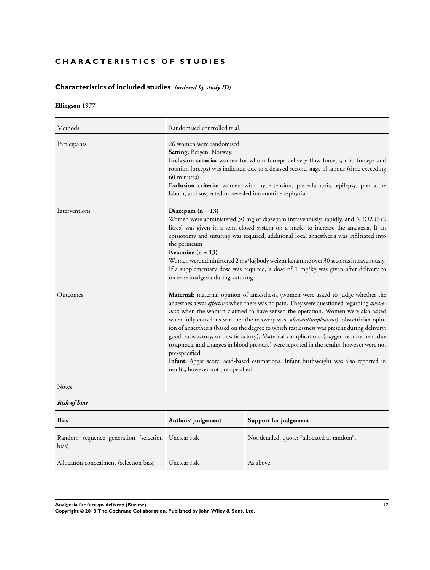# <span id="page-18-0"></span>**CHARACTERISTICS OF STUDIES**

# **Characteristics of included studies** *[ordered by study ID]*

# **Ellingson 1977**

| Methods                                                     | Randomised controlled trial.                                                                                                                                                                                                                                                                                                                                                                                                                                                                                                                                                                                                                                                                                                                                                                          |                                             |  |
|-------------------------------------------------------------|-------------------------------------------------------------------------------------------------------------------------------------------------------------------------------------------------------------------------------------------------------------------------------------------------------------------------------------------------------------------------------------------------------------------------------------------------------------------------------------------------------------------------------------------------------------------------------------------------------------------------------------------------------------------------------------------------------------------------------------------------------------------------------------------------------|---------------------------------------------|--|
| Participants                                                | 26 women were randomised.<br>Setting: Bergen, Norway.<br><b>Inclusion criteria:</b> women for whom forceps delivery (low forceps, mid forceps and<br>rotation forceps) was indicated due to a delayed second stage of labour (time exceeding<br>60 minutes)<br>Exclusion criteria: women with hypertension, pre-eclampsia, epilepsy, premature<br>labour, and suspected or revealed intrauterine asphyxia                                                                                                                                                                                                                                                                                                                                                                                             |                                             |  |
| Interventions                                               | Diazepam $(n = 13)$<br>Women were administered 30 mg of diazepam intravenously, rapidly, and N2O2 (6+2<br>litres) was given in a semi-closed system on a mask, to increase the analgesia. If an<br>episiotomy and suturing was required, additional local anaesthesia was infiltrated into<br>the perineum<br>Ketamine ( $n = 13$ )<br>Women were administered 2 mg/kg body weight ketamine over 30 seconds intravenously.<br>If a supplementary dose was required, a dose of 1 mg/kg was given after delivery to<br>increase analgesia during suturing                                                                                                                                                                                                                                               |                                             |  |
| Outcomes                                                    | Maternal: maternal opinion of anaesthesia (women were asked to judge whether the<br>anaesthesia was effective: when there was no pain. They were questioned regarding aware-<br>ness: when the woman claimed to have sensed the operation. Women were also asked<br>when fully conscious whether the recovery was: pleasant/unpleasant); obstetrician opin-<br>ion of anaesthesia (based on the degree to which restlessness was present during delivery:<br>good, satisfactory, or unsatisfactory). Maternal complications (oxygen requirement due<br>to apnoea, and changes in blood pressure) were reported in the results, however were not<br>pre-specified<br><b>Infant:</b> Apgar score; acid-based estimations. Infant birthweight was also reported in<br>results, however not pre-specified |                                             |  |
| Notes                                                       |                                                                                                                                                                                                                                                                                                                                                                                                                                                                                                                                                                                                                                                                                                                                                                                                       |                                             |  |
| <b>Risk of bias</b>                                         |                                                                                                                                                                                                                                                                                                                                                                                                                                                                                                                                                                                                                                                                                                                                                                                                       |                                             |  |
| <b>Bias</b>                                                 | Authors' judgement                                                                                                                                                                                                                                                                                                                                                                                                                                                                                                                                                                                                                                                                                                                                                                                    | Support for judgement                       |  |
| Random sequence generation (selection Unclear risk<br>bias) |                                                                                                                                                                                                                                                                                                                                                                                                                                                                                                                                                                                                                                                                                                                                                                                                       | Not detailed; quote: "allocated at random". |  |

Allocation concealment (selection bias) Unclear risk As above.

**Analgesia for forceps delivery (Review) 17**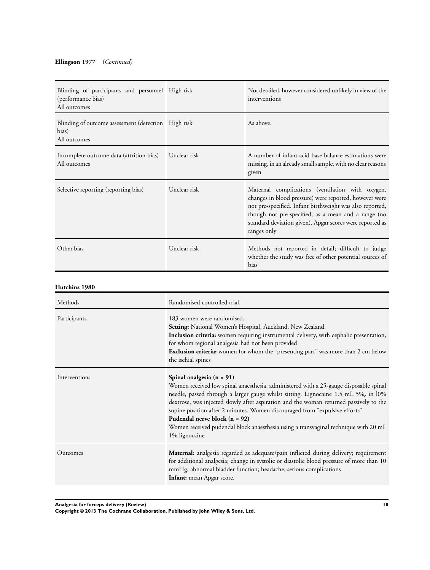# **Ellingson 1977** (*Continued)*

| Blinding of participants and personnel High risk<br>(performance bias)<br>All outcomes |              | Not detailed, however considered unlikely in view of the<br>interventions                                                                                                                                                                                                                                |
|----------------------------------------------------------------------------------------|--------------|----------------------------------------------------------------------------------------------------------------------------------------------------------------------------------------------------------------------------------------------------------------------------------------------------------|
| Blinding of outcome assessment (detection High risk<br>bias)<br>All outcomes           |              | As above.                                                                                                                                                                                                                                                                                                |
| Incomplete outcome data (attrition bias)<br>All outcomes                               | Unclear risk | A number of infant acid-base balance estimations were<br>missing, in an already small sample, with no clear reasons<br>given                                                                                                                                                                             |
| Selective reporting (reporting bias)                                                   | Unclear risk | Maternal complications (ventilation with oxygen,<br>changes in blood pressure) were reported, however were<br>not pre-specified. Infant birthweight was also reported,<br>though not pre-specified, as a mean and a range (no<br>standard deviation given). Apgar scores were reported as<br>ranges only |
| Other bias                                                                             | Unclear risk | Methods not reported in detail; difficult to judge<br>whether the study was free of other potential sources of<br>bias                                                                                                                                                                                   |

# **Hutchins 1980**

| Methods       | Randomised controlled trial.                                                                                                                                                                                                                                                                                                                                                                                                                                                                                                   |
|---------------|--------------------------------------------------------------------------------------------------------------------------------------------------------------------------------------------------------------------------------------------------------------------------------------------------------------------------------------------------------------------------------------------------------------------------------------------------------------------------------------------------------------------------------|
| Participants  | 183 women were randomised.<br><b>Setting:</b> National Women's Hospital, Auckland, New Zealand.<br>Inclusion criteria: women requiring instrumental delivery, with cephalic presentation,<br>for whom regional analgesia had not been provided<br>Exclusion criteria: women for whom the "presenting part" was more than 2 cm below<br>the ischial spines                                                                                                                                                                      |
| Interventions | Spinal analgesia $(n = 91)$<br>Women received low spinal anaesthesia, administered with a 25-gauge disposable spinal<br>needle, passed through a larger gauge whilst sitting. Lignocaine 1.5 mL 5%, in l0%<br>dextrose, was injected slowly after aspiration and the woman returned passively to the<br>supine position after 2 minutes. Women discouraged from "expulsive efforts"<br>Pudendal nerve block $(n = 92)$<br>Women received pudendal block anaesthesia using a transvaginal technique with 20 mL<br>1% lignocaine |
| Outcomes      | <b>Maternal:</b> analgesia regarded as adequate/pain inflicted during delivery; requirement<br>for additional analgesia; change in systolic or diastolic blood pressure of more than 10<br>mmHg; abnormal bladder function; headache; serious complications<br>Infant: mean Apgar score.                                                                                                                                                                                                                                       |

**Analgesia for forceps delivery (Review) 18**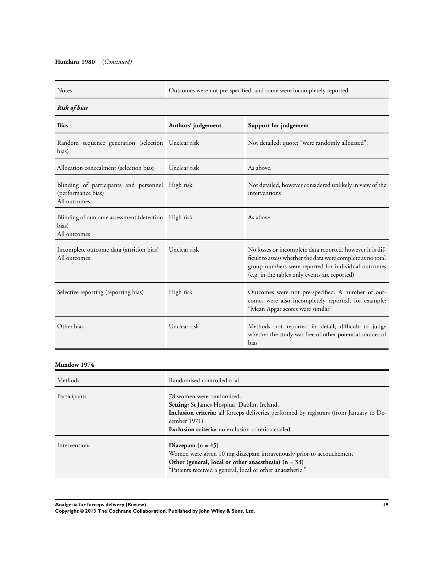# **Hutchins 1980** (*Continued)*

Notes Outcomes were not pre-specified, and some were incompletely reported

# *Risk of bias*

| <b>Bias</b>                                                                            | Authors' judgement | Support for judgement                                                                                                                                                                                                            |
|----------------------------------------------------------------------------------------|--------------------|----------------------------------------------------------------------------------------------------------------------------------------------------------------------------------------------------------------------------------|
| Random sequence generation (selection Unclear risk<br>bias)                            |                    | Not detailed; quote: "were randomly allocated".                                                                                                                                                                                  |
| Allocation concealment (selection bias)                                                | Unclear risk       | As above.                                                                                                                                                                                                                        |
| Blinding of participants and personnel High risk<br>(performance bias)<br>All outcomes |                    | Not detailed, however considered unlikely in view of the<br>interventions                                                                                                                                                        |
| Blinding of outcome assessment (detection High risk<br>bias)<br>All outcomes           |                    | As above.                                                                                                                                                                                                                        |
| Incomplete outcome data (attrition bias)<br>All outcomes                               | Unclear risk       | No losses or incomplete data reported, however it is dif-<br>ficult to assess whether the data were complete as no total<br>group numbers were reported for individual outcomes<br>(e.g. in the tables only events are reported) |
| Selective reporting (reporting bias)                                                   | High risk          | Outcomes were not pre-specified. A number of out-<br>comes were also incompletely reported, for example:<br>"Mean Apgar scores were similar"                                                                                     |
| Other bias                                                                             | Unclear risk       | Methods not reported in detail; difficult to judge<br>whether the study was free of other potential sources of<br>bias                                                                                                           |

# **Mundow 1974**

| Methods       | Randomised controlled trial.                                                                                                                                                                                                                                     |
|---------------|------------------------------------------------------------------------------------------------------------------------------------------------------------------------------------------------------------------------------------------------------------------|
| Participants  | 78 women were randomised.<br><b>Setting:</b> St James Hospital, Dublin, Ireland.<br><b>Inclusion criteria:</b> all forceps deliveries performed by registrars (from January to De-<br>cember 1971)<br><b>Exclusion criteria:</b> no exclusion criteria detailed. |
| Interventions | Diazepam $(n = 45)$<br>Women were given 10 mg diazepam intravenously prior to accouchement<br>Other (general, local or other anaesthesia) $(n = 33)$<br>"Patients received a general, local or other anaesthetic."                                               |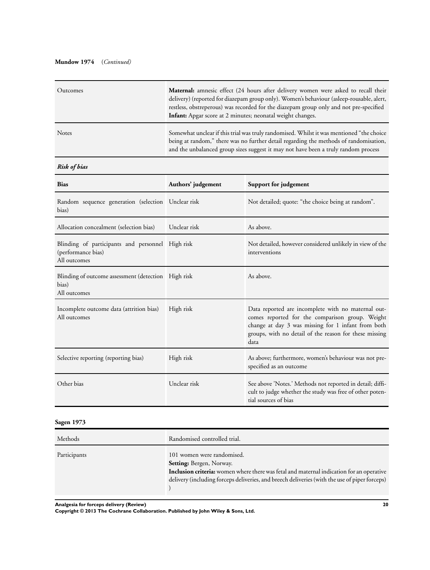| <b>Outcomes</b> | Maternal: amnesic effect (24 hours after delivery women were asked to recall their<br>delivery) (reported for diazepam group only). Women's behaviour (asleep-rousable, alert,<br>restless, obstreperous) was recorded for the diazepam group only and not pre-specified<br>Infant: Apgar score at 2 minutes; neonatal weight changes. |
|-----------------|----------------------------------------------------------------------------------------------------------------------------------------------------------------------------------------------------------------------------------------------------------------------------------------------------------------------------------------|
| <b>Notes</b>    | Somewhat unclear if this trial was truly randomised. Whilst it was mentioned "the choice"<br>being at random," there was no further detail regarding the methods of randomisation,<br>and the unbalanced group sizes suggest it may not have been a truly random process                                                               |

# *Risk of bias*

| <b>Bias</b>                                                                            | Authors' judgement | Support for judgement                                                                                                                                                                                                         |
|----------------------------------------------------------------------------------------|--------------------|-------------------------------------------------------------------------------------------------------------------------------------------------------------------------------------------------------------------------------|
| Random sequence generation (selection Unclear risk<br>bias)                            |                    | Not detailed; quote: "the choice being at random".                                                                                                                                                                            |
| Allocation concealment (selection bias)                                                | Unclear risk       | As above.                                                                                                                                                                                                                     |
| Blinding of participants and personnel High risk<br>(performance bias)<br>All outcomes |                    | Not detailed, however considered unlikely in view of the<br>interventions                                                                                                                                                     |
| Blinding of outcome assessment (detection High risk<br>bias)<br>All outcomes           |                    | As above.                                                                                                                                                                                                                     |
| Incomplete outcome data (attrition bias)<br>All outcomes                               | High risk          | Data reported are incomplete with no maternal out-<br>comes reported for the comparison group. Weight<br>change at day 3 was missing for 1 infant from both<br>groups, with no detail of the reason for these missing<br>data |
| Selective reporting (reporting bias)                                                   | High risk          | As above; furthermore, women's behaviour was not pre-<br>specified as an outcome                                                                                                                                              |
| Other bias                                                                             | Unclear risk       | See above 'Notes.' Methods not reported in detail; diffi-<br>cult to judge whether the study was free of other poten-<br>tial sources of bias                                                                                 |

# **Sagen 1973**

| Methods      | Randomised controlled trial.                                                                                                                                                                                                                               |
|--------------|------------------------------------------------------------------------------------------------------------------------------------------------------------------------------------------------------------------------------------------------------------|
| Participants | 101 women were randomised.<br><b>Setting:</b> Bergen, Norway.<br>Inclusion criteria: women where there was fetal and maternal indication for an operative<br>delivery (including forceps deliveries, and breech deliveries (with the use of piper forceps) |

**Analgesia for forceps delivery (Review) 20**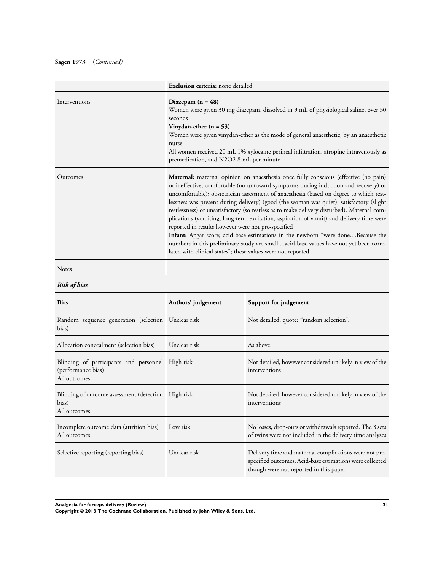|               | Exclusion criteria: none detailed.                                                                                                                                                                                                                                                                                                                                                                                                                                                                                                                                                                                                                                                                                                                                                                                                                              |  |  |
|---------------|-----------------------------------------------------------------------------------------------------------------------------------------------------------------------------------------------------------------------------------------------------------------------------------------------------------------------------------------------------------------------------------------------------------------------------------------------------------------------------------------------------------------------------------------------------------------------------------------------------------------------------------------------------------------------------------------------------------------------------------------------------------------------------------------------------------------------------------------------------------------|--|--|
| Interventions | Diazepam $(n = 48)$<br>Women were given 30 mg diazepam, dissolved in 9 mL of physiological saline, over 30<br>seconds<br>Vinydan-ether $(n = 53)$<br>Women were given vinydan-ether as the mode of general anaesthetic, by an anaesthetic<br>nurse<br>All women received 20 mL 1% xylocaine perineal infiltration, atropine intravenously as<br>premedication, and N2O2 8 mL per minute                                                                                                                                                                                                                                                                                                                                                                                                                                                                         |  |  |
| Outcomes      | <b>Maternal:</b> maternal opinion on anaesthesia once fully conscious (effective (no pain)<br>or ineffective; comfortable (no untoward symptoms during induction and recovery) or<br>uncomfortable); obstetrician assessment of anaesthesia (based on degree to which rest-<br>lessness was present during delivery) (good (the woman was quiet), satisfactory (slight<br>restlessness) or unsatisfactory (so restless as to make delivery disturbed). Maternal com-<br>plications (vomiting, long-term excitation, aspiration of vomit) and delivery time were<br>reported in results however were not pre-specified<br>Infant: Apgar score; acid base estimations in the newborn "were doneBecause the<br>numbers in this preliminary study are smallacid-base values have not yet been corre-<br>lated with clinical states"; these values were not reported |  |  |

# Notes

# *Risk of bias*

| <b>Bias</b>                                                                            | Authors' judgement | Support for judgement                                                                                                                                        |
|----------------------------------------------------------------------------------------|--------------------|--------------------------------------------------------------------------------------------------------------------------------------------------------------|
| Random sequence generation (selection Unclear risk<br>bias)                            |                    | Not detailed; quote: "random selection".                                                                                                                     |
| Allocation concealment (selection bias)                                                | Unclear risk       | As above.                                                                                                                                                    |
| Blinding of participants and personnel High risk<br>(performance bias)<br>All outcomes |                    | Not detailed, however considered unlikely in view of the<br>interventions                                                                                    |
| Blinding of outcome assessment (detection High risk<br>bias)<br>All outcomes           |                    | Not detailed, however considered unlikely in view of the<br>interventions                                                                                    |
| Incomplete outcome data (attrition bias)<br>All outcomes                               | Low risk           | No losses, drop-outs or withdrawals reported. The 3 sets<br>of twins were not included in the delivery time analyses                                         |
| Selective reporting (reporting bias)                                                   | Unclear risk       | Delivery time and maternal complications were not pre-<br>specified outcomes. Acid-base estimations were collected<br>though were not reported in this paper |

**Analgesia for forceps delivery (Review) 21 Copyright © 2013 The Cochrane Collaboration. Published by John Wiley & Sons, Ltd.**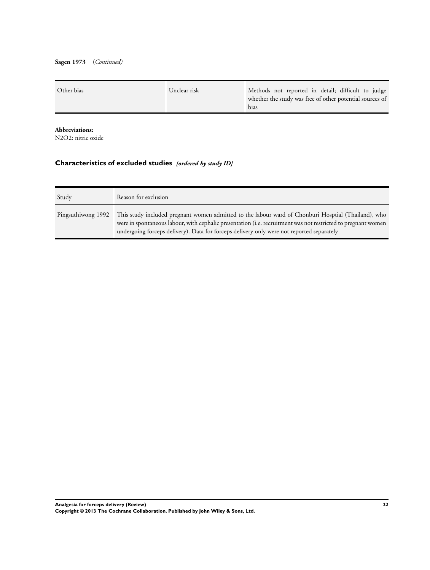# <span id="page-23-0"></span>**Sagen 1973** (*Continued)*

| Other bias | Unclear risk | Methods not reported in detail; difficult to judge<br>whether the study was free of other potential sources of<br>bias |
|------------|--------------|------------------------------------------------------------------------------------------------------------------------|
|------------|--------------|------------------------------------------------------------------------------------------------------------------------|

**Abbreviations:**

N2O2: nitric oxide

# **Characteristics of excluded studies** *[ordered by study ID]*

| Study              | Reason for exclusion                                                                                                                                                                                                                                                                                              |
|--------------------|-------------------------------------------------------------------------------------------------------------------------------------------------------------------------------------------------------------------------------------------------------------------------------------------------------------------|
| Pingsuthiwong 1992 | This study included pregnant women admitted to the labour ward of Chonburi Hosptial (Thailand), who<br>were in spontaneous labour, with cephalic presentation (i.e. recruitment was not restricted to pregnant women<br>undergoing forceps delivery). Data for forceps delivery only were not reported separately |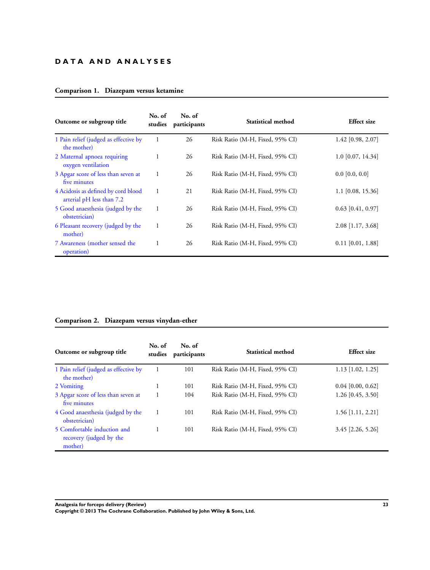# **D A T A A N D A N A L Y S E S**

| Outcome or subgroup title                                        | No. of<br>studies | No. of<br>participants | Statistical method              | <b>Effect size</b>  |
|------------------------------------------------------------------|-------------------|------------------------|---------------------------------|---------------------|
| 1 Pain relief (judged as effective by<br>the mother)             |                   | 26                     | Risk Ratio (M-H, Fixed, 95% CI) | 1.42 [0.98, 2.07]   |
| 2 Maternal apnoea requiring<br>oxygen ventilation                | $\mathbf{1}$      | 26                     | Risk Ratio (M-H, Fixed, 95% CI) | $1.0$ [0.07, 14.34] |
| 3 Apgar score of less than seven at<br>five minutes              | 1                 | 26                     | Risk Ratio (M-H, Fixed, 95% CI) | $0.0$ [0.0, 0.0]    |
| 4 Acidosis as defined by cord blood<br>arterial pH less than 7.2 | 1                 | 21                     | Risk Ratio (M-H, Fixed, 95% CI) | $1.1$ [0.08, 15.36] |
| 5 Good anaesthesia (judged by the<br>obstetrician)               | 1                 | 26                     | Risk Ratio (M-H, Fixed, 95% CI) | $0.63$ [0.41, 0.97] |
| 6 Pleasant recovery (judged by the<br>mother)                    | $\mathbf{1}$      | 26                     | Risk Ratio (M-H, Fixed, 95% CI) | $2.08$ [1.17, 3.68] |
| 7 Awareness (mother sensed the<br>operation)                     | 1                 | 26                     | Risk Ratio (M-H, Fixed, 95% CI) | $0.11$ [0.01, 1.88] |

# **Comparison 1. Diazepam versus ketamine**

# **Comparison 2. Diazepam versus vinydan-ether**

| Outcome or subgroup title                                         | No. of<br>studies | No. of<br>participants | Statistical method              | <b>Effect size</b>  |
|-------------------------------------------------------------------|-------------------|------------------------|---------------------------------|---------------------|
| 1 Pain relief (judged as effective by<br>the mother)              |                   | 101                    | Risk Ratio (M-H, Fixed, 95% CI) | $1.13$ [1.02, 1.25] |
| 2 Vomiting                                                        |                   | 101                    | Risk Ratio (M-H, Fixed, 95% CI) | $0.04$ [0.00, 0.62] |
| 3 Apgar score of less than seven at<br>five minutes               |                   | 104                    | Risk Ratio (M-H, Fixed, 95% CI) | 1.26 [0.45, 3.50]   |
| 4 Good anaesthesia (judged by the<br>obstetrician)                | 1                 | 101                    | Risk Ratio (M-H, Fixed, 95% CI) | $1.56$ [1.11, 2.21] |
| 5 Comfortable induction and<br>recovery (judged by the<br>mother) |                   | 101                    | Risk Ratio (M-H, Fixed, 95% CI) | 3.45 [2.26, 5.26]   |

**Analgesia for forceps delivery (Review) 23**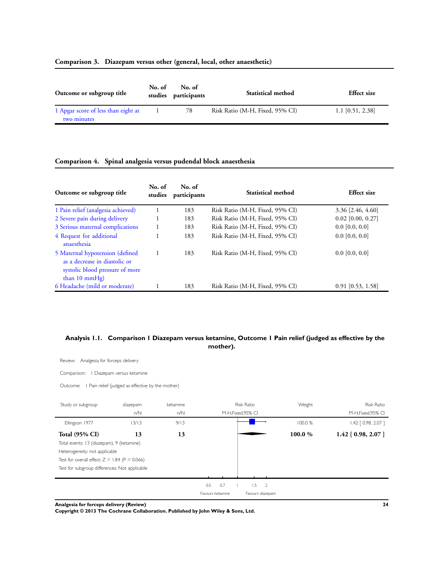# <span id="page-25-0"></span>**Comparison 3. Diazepam versus other (general, local, other anaesthetic)**

| Outcome or subgroup title                          | No. of | No. of<br>studies participants | <b>Statistical method</b>       | <b>Effect</b> size |
|----------------------------------------------------|--------|--------------------------------|---------------------------------|--------------------|
| 1 Apgar score of less than eight at<br>two minutes |        | 78                             | Risk Ratio (M-H, Fixed, 95% CI) | $1.1$ [0.51, 2.38] |

# **Comparison 4. Spinal analgesia versus pudendal block anaesthesia**

| Outcome or subgroup title                                                                                            | No. of<br>studies | No. of<br>participants | Statistical method              | <b>Effect</b> size  |
|----------------------------------------------------------------------------------------------------------------------|-------------------|------------------------|---------------------------------|---------------------|
| 1 Pain relief (analgesia achieved)                                                                                   |                   | 183                    | Risk Ratio (M-H, Fixed, 95% CI) | $3.36$ [2.46, 4.60] |
| 2 Severe pain during delivery                                                                                        |                   | 183                    | Risk Ratio (M-H, Fixed, 95% CI) | $0.02$ [0.00, 0.27] |
| 3 Serious maternal complications                                                                                     |                   | 183                    | Risk Ratio (M-H, Fixed, 95% CI) | $0.0$ [0.0, 0.0]    |
| 4 Request for additional<br>anaesthesia                                                                              |                   | 183                    | Risk Ratio (M-H, Fixed, 95% CI) | $0.0$ [0.0, 0.0]    |
| 5 Maternal hypotension (defined<br>as a decrease in diastolic or<br>systolic blood pressure of more<br>than 10 mmHg) |                   | 183                    | Risk Ratio (M-H, Fixed, 95% CI) | $0.0$ [0.0, 0.0]    |
| 6 Headache (mild or moderate)                                                                                        |                   | 183                    | Risk Ratio (M-H, Fixed, 95% CI) | $0.91$ [0.53, 1.58] |

# **Analysis 1.1. Comparison 1 Diazepam versus ketamine, Outcome 1 Pain relief (judged as effective by the mother).**

Review: Analgesia for forceps delivery

Comparison: 1 Diazepam versus ketamine

Outcome: 1 Pain relief (judged as effective by the mother)

| Study or subgroup                               | diazepam | ketamine |                  | <b>Risk Ratio</b>     | Weight  | <b>Risk Ratio</b>     |
|-------------------------------------------------|----------|----------|------------------|-----------------------|---------|-----------------------|
|                                                 | n/N      | n/N      |                  | M-H, Fixed, 95% CI    |         | M-H, Fixed, 95% CI    |
| Ellingson 1977                                  | 13/13    | 9/13     |                  |                       | 100.0 % | $1.42$ [ 0.98, 2.07 ] |
| <b>Total (95% CI)</b>                           | 13       | 13       |                  |                       | 100.0%  | $1.42$ [ 0.98, 2.07 ] |
| Total events: 13 (diazepam), 9 (ketamine)       |          |          |                  |                       |         |                       |
| Heterogeneity: not applicable                   |          |          |                  |                       |         |                       |
| Test for overall effect: $Z = 1.84$ (P = 0.066) |          |          |                  |                       |         |                       |
| Test for subgroup differences: Not applicable   |          |          |                  |                       |         |                       |
|                                                 |          |          |                  |                       |         |                       |
|                                                 |          |          | 0.7<br>0.5       | 1.5<br>$\overline{2}$ |         |                       |
|                                                 |          |          | Favours ketamine | Favours diazepam      |         |                       |

**Analgesia for forceps delivery (Review) 24**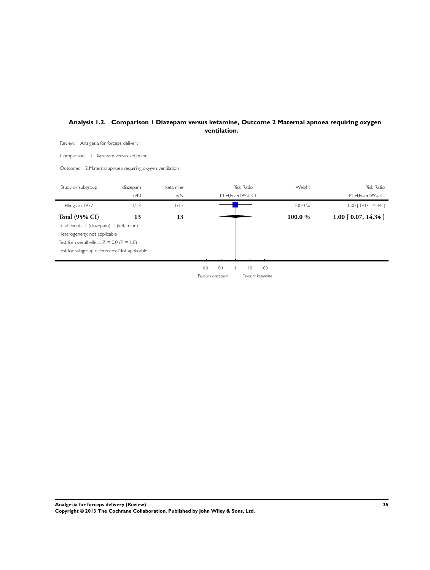# <span id="page-26-0"></span>**Analysis 1.2. Comparison 1 Diazepam versus ketamine, Outcome 2 Maternal apnoea requiring oxygen ventilation.**

| Comparison:                                             | I Diazepam versus ketamine |          |      |                    |                   |                  |         |                        |
|---------------------------------------------------------|----------------------------|----------|------|--------------------|-------------------|------------------|---------|------------------------|
| Outcome: 2 Maternal apnoea requiring oxygen ventilation |                            |          |      |                    |                   |                  |         |                        |
| Study or subgroup                                       | diazepam                   | ketamine |      |                    | <b>Risk Ratio</b> |                  | Weight  | <b>Risk Ratio</b>      |
|                                                         | n/N                        | n/N      |      | M-H, Fixed, 95% CI |                   |                  |         | M-H, Fixed, 95% CI     |
| Ellingson 1977                                          | 1/13                       | 1/13     |      |                    |                   |                  | 100.0 % | 1.00 [ 0.07, 14.34 ]   |
| <b>Total (95% CI)</b>                                   | 13                         | 13       |      |                    |                   |                  | 100.0%  | $1.00$ [ 0.07, 14.34 ] |
| Total events: I (diazepam), I (ketamine)                |                            |          |      |                    |                   |                  |         |                        |
| Heterogeneity: not applicable                           |                            |          |      |                    |                   |                  |         |                        |
| Test for overall effect: $Z = 0.0$ (P = 1.0)            |                            |          |      |                    |                   |                  |         |                        |
| Test for subgroup differences: Not applicable           |                            |          |      |                    |                   |                  |         |                        |
|                                                         |                            |          |      |                    |                   |                  |         |                        |
|                                                         |                            |          | 0.01 | 0.1                | $\overline{0}$    | 100              |         |                        |
|                                                         |                            |          |      | Favours diazepam   |                   | Favours ketamine |         |                        |

**Analgesia for forceps delivery (Review) 25 Copyright © 2013 The Cochrane Collaboration. Published by John Wiley & Sons, Ltd.**

Review: Analgesia for forceps delivery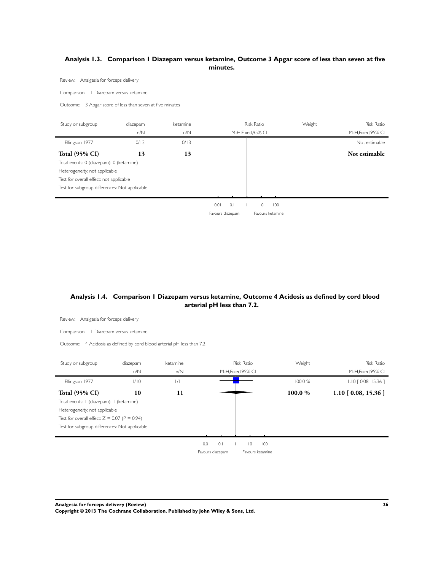# <span id="page-27-0"></span>**Analysis 1.3. Comparison 1 Diazepam versus ketamine, Outcome 3 Apgar score of less than seven at five minutes.**

Review: Analgesia for forceps delivery

l,

Comparison: 1 Diazepam versus ketamine

Outcome: 3 Apgar score of less than seven at five minutes

| Study or subgroup                             | diazepam | ketamine | <b>Risk Ratio</b>                    | Weight | <b>Risk Ratio</b>  |
|-----------------------------------------------|----------|----------|--------------------------------------|--------|--------------------|
|                                               | n/N      | n/N      | M-H, Fixed, 95% CI                   |        | M-H, Fixed, 95% CI |
| Ellingson 1977                                | 0/13     | 0/13     |                                      |        | Not estimable      |
| <b>Total (95% CI)</b>                         | 13       | 13       |                                      |        | Not estimable      |
| Total events: 0 (diazepam), 0 (ketamine)      |          |          |                                      |        |                    |
| Heterogeneity: not applicable                 |          |          |                                      |        |                    |
| Test for overall effect: not applicable       |          |          |                                      |        |                    |
| Test for subgroup differences: Not applicable |          |          |                                      |        |                    |
|                                               |          |          |                                      |        |                    |
|                                               |          |          | 0.1<br>0.01<br>100<br>$\overline{0}$ |        |                    |
|                                               |          |          | Favours diazepam<br>Favours ketamine |        |                    |

# **Analysis 1.4. Comparison 1 Diazepam versus ketamine, Outcome 4 Acidosis as defined by cord blood arterial pH less than 7.2.**

Review: Analgesia for forceps delivery

Comparison: 1 Diazepam versus ketamine

Outcome: 4 Acidosis as defined by cord blood arterial pH less than 7.2

| Study or subgroup                              | diazepam | ketamine |                  |     | <b>Risk Ratio</b>  |                  | Weight | <b>Risk Ratio</b>      |
|------------------------------------------------|----------|----------|------------------|-----|--------------------|------------------|--------|------------------------|
|                                                | n/N      | n/N      |                  |     | M-H, Fixed, 95% CI |                  |        | M-H, Fixed, 95% CI     |
| Ellingson 1977                                 | 1/10     | 1/11     |                  |     |                    |                  | 100.0% | $1.10$ $[0.08, 15.36]$ |
| <b>Total (95% CI)</b>                          | 10       | 11       |                  |     |                    |                  | 100.0% | $1.10$ [ 0.08, 15.36 ] |
| Total events: I (diazepam), I (ketamine)       |          |          |                  |     |                    |                  |        |                        |
| Heterogeneity: not applicable                  |          |          |                  |     |                    |                  |        |                        |
| Test for overall effect: $Z = 0.07$ (P = 0.94) |          |          |                  |     |                    |                  |        |                        |
| Test for subgroup differences: Not applicable  |          |          |                  |     |                    |                  |        |                        |
|                                                |          |          |                  |     |                    |                  |        |                        |
|                                                |          |          | 0.01             | 0.1 | $\overline{0}$     | 100              |        |                        |
|                                                |          |          |                  |     |                    |                  |        |                        |
|                                                |          |          | Favours diazepam |     |                    | Favours ketamine |        |                        |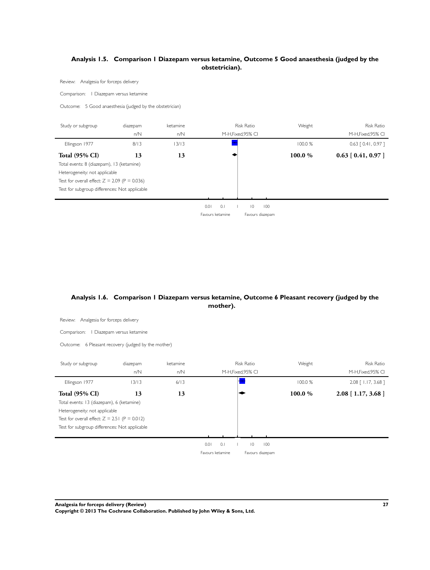# <span id="page-28-0"></span>**Analysis 1.5. Comparison 1 Diazepam versus ketamine, Outcome 5 Good anaesthesia (judged by the obstetrician).**

Review: Analgesia for forceps delivery

Comparison: 1 Diazepam versus ketamine

Outcome: 5 Good anaesthesia (judged by the obstetrician)

| Study or subgroup                               | diazepam | ketamine | <b>Risk Ratio</b>                    | Weight | <b>Risk Ratio</b>       |
|-------------------------------------------------|----------|----------|--------------------------------------|--------|-------------------------|
|                                                 | n/N      | n/N      | M-H, Fixed, 95% CI                   |        | M-H, Fixed, 95% CI      |
| Ellingson 1977                                  | 8/13     | 13/13    |                                      | 100.0% | $0.63$ $[0.41, 0.97]$   |
| <b>Total (95% CI)</b>                           | 13       | 13       |                                      | 100.0% | $0.63$ [ $0.41, 0.97$ ] |
| Total events: 8 (diazepam), 13 (ketamine)       |          |          |                                      |        |                         |
| Heterogeneity: not applicable                   |          |          |                                      |        |                         |
| Test for overall effect: $Z = 2.09$ (P = 0.036) |          |          |                                      |        |                         |
| Test for subgroup differences: Not applicable   |          |          |                                      |        |                         |
|                                                 |          |          |                                      |        |                         |
|                                                 |          |          | 0.1<br>0.01<br>$\overline{0}$<br>100 |        |                         |
|                                                 |          |          | Favours ketamine<br>Favours diazepam |        |                         |

# **Analysis 1.6. Comparison 1 Diazepam versus ketamine, Outcome 6 Pleasant recovery (judged by the mother).**

Review: Analgesia for forceps delivery

Comparison: 1 Diazepam versus ketamine

Outcome: 6 Pleasant recovery (judged by the mother)

| Study or subgroup                               | diazepam<br>n/N | ketamine<br>n/N |                  |     | <b>Risk Ratio</b><br>M-H, Fixed, 95% CI |                  | Weight  | <b>Risk Ratio</b><br>M-H, Fixed, 95% CI |
|-------------------------------------------------|-----------------|-----------------|------------------|-----|-----------------------------------------|------------------|---------|-----------------------------------------|
| Ellingson 1977                                  | 13/13           | 6/13            |                  |     |                                         |                  | 100.0 % | $2.08$ [ 1.17, 3.68 ]                   |
| <b>Total (95% CI)</b>                           | 13              | 13              |                  |     |                                         |                  | 100.0%  | $2.08$ [ 1.17, 3.68 ]                   |
| Total events: 13 (diazepam), 6 (ketamine)       |                 |                 |                  |     |                                         |                  |         |                                         |
| Heterogeneity: not applicable                   |                 |                 |                  |     |                                         |                  |         |                                         |
| Test for overall effect: $Z = 2.51$ (P = 0.012) |                 |                 |                  |     |                                         |                  |         |                                         |
| Test for subgroup differences: Not applicable   |                 |                 |                  |     |                                         |                  |         |                                         |
|                                                 |                 |                 |                  |     |                                         |                  |         |                                         |
|                                                 |                 |                 | 0.01             | 0.1 | $\overline{0}$                          | 100              |         |                                         |
|                                                 |                 |                 | Favours ketamine |     |                                         | Favours diazepam |         |                                         |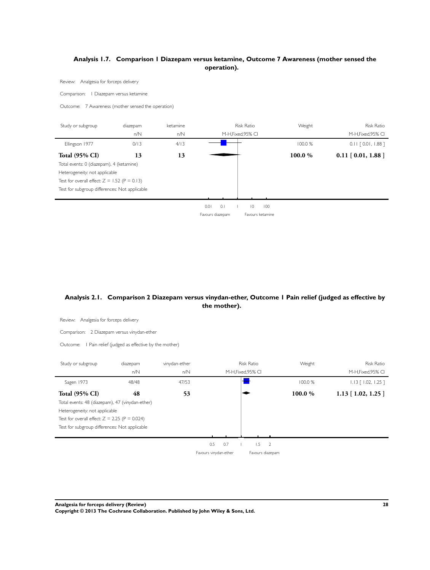# <span id="page-29-0"></span>**Analysis 1.7. Comparison 1 Diazepam versus ketamine, Outcome 7 Awareness (mother sensed the operation).**

Review: Analgesia for forceps delivery

Comparison: 1 Diazepam versus ketamine

Outcome: 7 Awareness (mother sensed the operation)

| Study or subgroup                              | diazepam | ketamine | <b>Risk Ratio</b>                    | Weight | <b>Risk Ratio</b>          |
|------------------------------------------------|----------|----------|--------------------------------------|--------|----------------------------|
|                                                | n/N      | n/N      | M-H, Fixed, 95% CI                   |        | M-H, Fixed, 95% CI         |
| Ellingson 1977                                 | 0/13     | 4/13     |                                      | 100.0% | $0.11$ $[0.01, 1.88]$      |
| <b>Total (95% CI)</b>                          | 13       | 13       |                                      | 100.0% | $0.11$ [ $0.01$ , $1.88$ ] |
| Total events: 0 (diazepam), 4 (ketamine)       |          |          |                                      |        |                            |
| Heterogeneity: not applicable                  |          |          |                                      |        |                            |
| Test for overall effect: $Z = 1.52$ (P = 0.13) |          |          |                                      |        |                            |
| Test for subgroup differences: Not applicable  |          |          |                                      |        |                            |
|                                                |          |          |                                      |        |                            |
|                                                |          |          | 0.1<br>0.01<br>$ 0\rangle$<br>100    |        |                            |
|                                                |          |          | Favours diazepam<br>Favours ketamine |        |                            |

# **Analysis 2.1. Comparison 2 Diazepam versus vinydan-ether, Outcome 1 Pain relief (judged as effective by the mother).**

Review: Analgesia for forceps delivery

Comparison: 2 Diazepam versus vinydan-ether

Outcome: 1 Pain relief (judged as effective by the mother)

| Study or subgroup                               | diazepam | vinydan-ether |                       |     | <b>Risk Ratio</b>  |                  | Weight | <b>Risk Ratio</b>           |
|-------------------------------------------------|----------|---------------|-----------------------|-----|--------------------|------------------|--------|-----------------------------|
|                                                 | n/N      | n/N           |                       |     | M-H, Fixed, 95% CI |                  |        | M-H, Fixed, 95% CI          |
| Sagen 1973                                      | 48/48    | 47/53         |                       |     |                    |                  | 100.0% | $1.13$ $[$ $1.02, 1.25$ $]$ |
| <b>Total (95% CI)</b>                           | 48       | 53            |                       |     |                    |                  | 100.0% | $1.13$ [ 1.02, 1.25 ]       |
| Total events: 48 (diazepam), 47 (vinydan-ether) |          |               |                       |     |                    |                  |        |                             |
| Heterogeneity: not applicable                   |          |               |                       |     |                    |                  |        |                             |
| Test for overall effect: $Z = 2.25$ (P = 0.024) |          |               |                       |     |                    |                  |        |                             |
| Test for subgroup differences: Not applicable   |          |               |                       |     |                    |                  |        |                             |
|                                                 |          |               |                       |     |                    |                  |        |                             |
|                                                 |          |               | 0.5                   | 0.7 | $1.5 \t 2$         |                  |        |                             |
|                                                 |          |               | Favours vinydan-ether |     |                    | Favours diazepam |        |                             |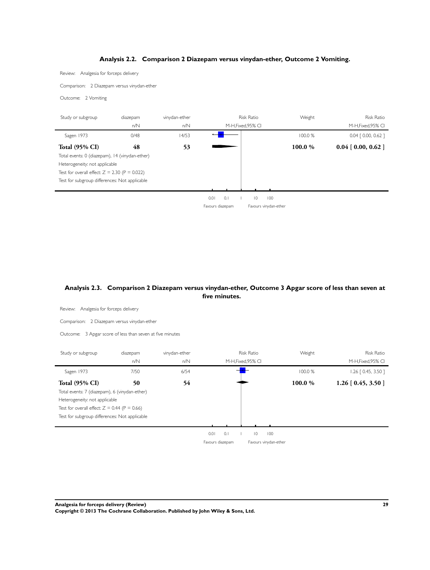# **Analysis 2.2. Comparison 2 Diazepam versus vinydan-ether, Outcome 2 Vomiting.**

<span id="page-30-0"></span>Review: Analgesia for forceps delivery

Comparison: 2 Diazepam versus vinydan-ether

Outcome: 2 Vomiting

l.

| Study or subgroup                               | diazepam | vinydan-ether |                  | <b>Risk Ratio</b>     | Weight  | <b>Risk Ratio</b>     |
|-------------------------------------------------|----------|---------------|------------------|-----------------------|---------|-----------------------|
|                                                 | n/N      | n/N           |                  | M-H, Fixed, 95% CI    |         | M-H, Fixed, 95% CI    |
| Sagen 1973                                      | 0/48     | 14/53         |                  |                       | 100.0 % | $0.04$ $[0.00, 0.62]$ |
| <b>Total (95% CI)</b>                           | 48       | 53            |                  |                       | 100.0%  | $0.04$ [ 0.00, 0.62 ] |
| Total events: 0 (diazepam), 14 (vinydan-ether)  |          |               |                  |                       |         |                       |
| Heterogeneity: not applicable                   |          |               |                  |                       |         |                       |
| Test for overall effect: $Z = 2.30$ (P = 0.022) |          |               |                  |                       |         |                       |
| Test for subgroup differences: Not applicable   |          |               |                  |                       |         |                       |
|                                                 |          |               |                  |                       |         |                       |
|                                                 |          |               | 0.1<br>0.01      | $\overline{0}$<br>100 |         |                       |
|                                                 |          |               | Favours diazepam | Favours vinydan-ether |         |                       |

# **Analysis 2.3. Comparison 2 Diazepam versus vinydan-ether, Outcome 3 Apgar score of less than seven at five minutes.**

Review: Analgesia for forceps delivery

Comparison: 2 Diazepam versus vinydan-ether

Outcome: 3 Apgar score of less than seven at five minutes

| Study or subgroup                              | diazepam | vinydan-ether |                  |     | <b>Risk Ratio</b>  |                       | Weight  | <b>Risk Ratio</b>           |
|------------------------------------------------|----------|---------------|------------------|-----|--------------------|-----------------------|---------|-----------------------------|
|                                                | n/N      | n/N           |                  |     | M-H, Fixed, 95% CI |                       |         | M-H, Fixed, 95% CI          |
| Sagen 1973                                     | 7/50     | 6/54          |                  |     |                    |                       | 100.0 % | $1.26$ $[0.45, 3.50]$       |
| <b>Total (95% CI)</b>                          | 50       | 54            |                  |     |                    |                       | 100.0%  | $1.26 \mid 0.45, 3.50 \mid$ |
| Total events: 7 (diazepam), 6 (vinydan-ether)  |          |               |                  |     |                    |                       |         |                             |
| Heterogeneity: not applicable                  |          |               |                  |     |                    |                       |         |                             |
| Test for overall effect: $Z = 0.44$ (P = 0.66) |          |               |                  |     |                    |                       |         |                             |
| Test for subgroup differences: Not applicable  |          |               |                  |     |                    |                       |         |                             |
|                                                |          |               |                  |     |                    |                       |         |                             |
|                                                |          |               | 0.01             | 0.1 | $\overline{0}$     | 100                   |         |                             |
|                                                |          |               | Favours diazepam |     |                    | Favours vinydan-ether |         |                             |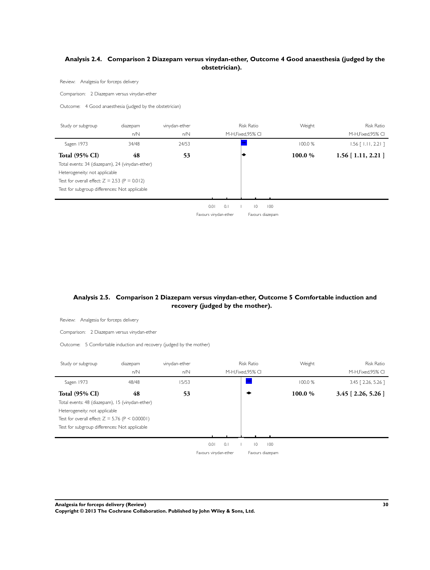# <span id="page-31-0"></span>**Analysis 2.4. Comparison 2 Diazepam versus vinydan-ether, Outcome 4 Good anaesthesia (judged by the obstetrician).**

Review: Analgesia for forceps delivery

Comparison: 2 Diazepam versus vinydan-ether

Outcome: 4 Good anaesthesia (judged by the obstetrician)

| Study or subgroup                               | diazepam | vinydan-ether |                       | <b>Risk Ratio</b>     | Weight  | <b>Risk Ratio</b>        |
|-------------------------------------------------|----------|---------------|-----------------------|-----------------------|---------|--------------------------|
|                                                 | n/N      | n/N           |                       | M-H, Fixed, 95% CI    |         | M-H, Fixed, 95% CI       |
| Sagen 1973                                      | 34/48    | 24/53         |                       |                       | 100.0 % | $1.56$ [ $1.11$ , 2.21 ] |
| <b>Total (95% CI)</b>                           | 48       | 53            |                       |                       | 100.0%  | $1.56$ [ 1.11, 2.21 ]    |
| Total events: 34 (diazepam), 24 (vinydan-ether) |          |               |                       |                       |         |                          |
| Heterogeneity: not applicable                   |          |               |                       |                       |         |                          |
| Test for overall effect: $Z = 2.53$ (P = 0.012) |          |               |                       |                       |         |                          |
| Test for subgroup differences: Not applicable   |          |               |                       |                       |         |                          |
|                                                 |          |               |                       |                       |         |                          |
|                                                 |          |               | 0.1<br>0.01           | 100<br>$\overline{0}$ |         |                          |
|                                                 |          |               | Favours vinydan-ether | Favours diazepam      |         |                          |

# **Analysis 2.5. Comparison 2 Diazepam versus vinydan-ether, Outcome 5 Comfortable induction and recovery (judged by the mother).**

Review: Analgesia for forceps delivery

Comparison: 2 Diazepam versus vinydan-ether

Outcome: 5 Comfortable induction and recovery (judged by the mother)

| Study or subgroup                                                                                                                                                                                               | diazepam<br>n/N | vinydan-ether<br>n/N |                                      | <b>Risk Ratio</b><br>M-H, Fixed, 95% CI   | Weight  | <b>Risk Ratio</b><br>M-H, Fixed, 95% CI |
|-----------------------------------------------------------------------------------------------------------------------------------------------------------------------------------------------------------------|-----------------|----------------------|--------------------------------------|-------------------------------------------|---------|-----------------------------------------|
| Sagen 1973                                                                                                                                                                                                      | 48/48           | 15/53                |                                      |                                           | 100.0%  | 3.45   2.26, 5.26 ]                     |
| <b>Total (95% CI)</b><br>Total events: 48 (diazepam), 15 (vinydan-ether)<br>Heterogeneity: not applicable<br>Test for overall effect: $Z = 5.76$ (P < 0.00001)<br>Test for subgroup differences: Not applicable | 48              | 53                   |                                      |                                           | 100.0 % | $3.45$ [ 2.26, 5.26 ]                   |
|                                                                                                                                                                                                                 |                 |                      | 0.1<br>0.01<br>Favours vinydan-ether | $\overline{0}$<br>100<br>Favours diazepam |         |                                         |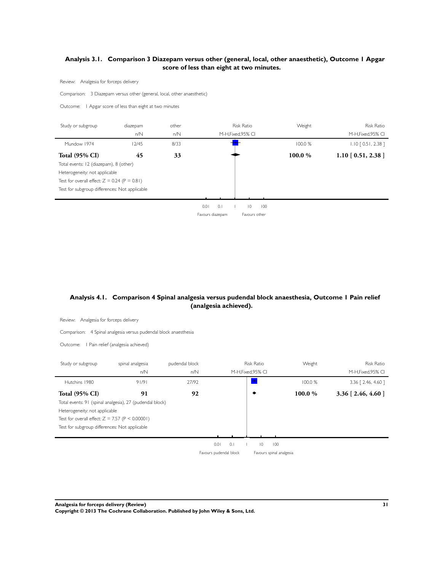# <span id="page-32-0"></span>**Analysis 3.1. Comparison 3 Diazepam versus other (general, local, other anaesthetic), Outcome 1 Apgar score of less than eight at two minutes.**

Review: Analgesia for forceps delivery

Comparison: 3 Diazepam versus other (general, local, other anaesthetic)

Outcome: 1 Apgar score of less than eight at two minutes

| Study or subgroup                              | diazepam | other | <b>Risk Ratio</b>                    | Weight | <b>Risk Ratio</b>     |
|------------------------------------------------|----------|-------|--------------------------------------|--------|-----------------------|
|                                                | n/N      | n/N   | M-H, Fixed, 95% CI                   |        | M-H, Fixed, 95% CI    |
| Mundow 1974                                    | 12/45    | 8/33  |                                      | 100.0% | $1.10$ $[0.51, 2.38]$ |
| <b>Total (95% CI)</b>                          | 45       | 33    |                                      | 100.0% | $1.10$ [ 0.51, 2.38 ] |
| Total events: 12 (diazepam), 8 (other)         |          |       |                                      |        |                       |
| Heterogeneity: not applicable                  |          |       |                                      |        |                       |
| Test for overall effect: $Z = 0.24$ (P = 0.81) |          |       |                                      |        |                       |
| Test for subgroup differences: Not applicable  |          |       |                                      |        |                       |
|                                                |          |       |                                      |        |                       |
|                                                |          |       | 0.1<br>100<br>0.01<br>$\overline{0}$ |        |                       |
|                                                |          |       | Favours diazepam<br>Favours other    |        |                       |

# **Analysis 4.1. Comparison 4 Spinal analgesia versus pudendal block anaesthesia, Outcome 1 Pain relief (analgesia achieved).**

Review: Analgesia for forceps delivery

Comparison: 4 Spinal analgesia versus pudendal block anaesthesia

Outcome: 1 Pain relief (analgesia achieved)

| Study or subgroup                                 | spinal analgesia<br>n/N                                  | pudendal block<br>n/N |                        | <b>Risk Ratio</b><br>M-H, Fixed, 95% CI | Weight  | <b>Risk Ratio</b><br>M-H, Fixed, 95% CI |
|---------------------------------------------------|----------------------------------------------------------|-----------------------|------------------------|-----------------------------------------|---------|-----------------------------------------|
| Hutchins 1980                                     | 91/91                                                    | 27/92                 |                        |                                         | 100.0%  | 3.36   2.46, 4.60 ]                     |
| <b>Total (95% CI)</b>                             | 91                                                       | 92                    |                        |                                         | 100.0 % | $3.36$ [ 2.46, 4.60 ]                   |
|                                                   | Total events: 91 (spinal analgesia), 27 (pudendal block) |                       |                        |                                         |         |                                         |
| Heterogeneity: not applicable                     |                                                          |                       |                        |                                         |         |                                         |
| Test for overall effect: $Z = 7.57$ (P < 0.00001) |                                                          |                       |                        |                                         |         |                                         |
| Test for subgroup differences: Not applicable     |                                                          |                       |                        |                                         |         |                                         |
|                                                   |                                                          |                       |                        |                                         |         |                                         |
|                                                   |                                                          |                       | 0.1<br>0.01            | $\overline{0}$<br>100                   |         |                                         |
|                                                   |                                                          |                       | Favours pudendal block | Favours spinal analgesia                |         |                                         |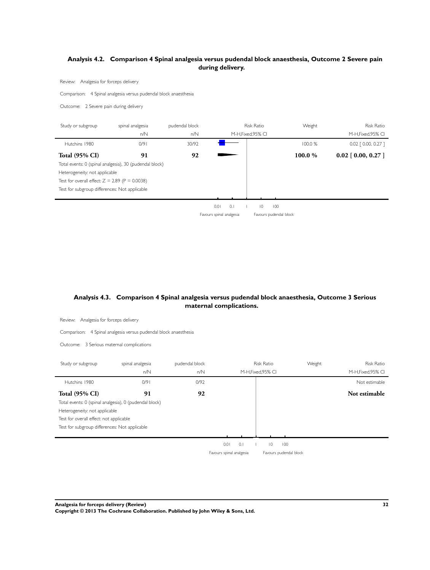# <span id="page-33-0"></span>**Analysis 4.2. Comparison 4 Spinal analgesia versus pudendal block anaesthesia, Outcome 2 Severe pain during delivery.**

Review: Analgesia for forceps delivery

Comparison: 4 Spinal analgesia versus pudendal block anaesthesia

Outcome: 2 Severe pain during delivery

| Study or subgroup                                | spinal analgesia                                        | pudendal block |                          | <b>Risk Ratio</b> |                  |                        | Weight  | <b>Risk Ratio</b>     |
|--------------------------------------------------|---------------------------------------------------------|----------------|--------------------------|-------------------|------------------|------------------------|---------|-----------------------|
|                                                  | n/N                                                     | n/N            |                          |                   | M-H.Fixed.95% CI |                        |         | M-H, Fixed, 95% CI    |
| Hutchins 1980                                    | 0/91                                                    | 30/92          |                          |                   |                  |                        | 100.0%  | $0.02$ $[0.00, 0.27]$ |
| <b>Total (95% CI)</b>                            | 91                                                      | 92             |                          |                   |                  |                        | 100.0 % | $0.02$ [ 0.00, 0.27 ] |
|                                                  | Total events: 0 (spinal analgesia), 30 (pudendal block) |                |                          |                   |                  |                        |         |                       |
| Heterogeneity: not applicable                    |                                                         |                |                          |                   |                  |                        |         |                       |
| Test for overall effect: $Z = 2.89$ (P = 0.0038) |                                                         |                |                          |                   |                  |                        |         |                       |
| Test for subgroup differences: Not applicable    |                                                         |                |                          |                   |                  |                        |         |                       |
|                                                  |                                                         |                |                          |                   |                  |                        |         |                       |
|                                                  |                                                         |                | 0.01                     | 0.1               | $\overline{0}$   | 100                    |         |                       |
|                                                  |                                                         |                | Favours spinal analgesia |                   |                  | Favours pudendal block |         |                       |

# **Analysis 4.3. Comparison 4 Spinal analgesia versus pudendal block anaesthesia, Outcome 3 Serious maternal complications.**

Review: Analgesia for forceps delivery

Comparison: 4 Spinal analgesia versus pudendal block anaesthesia

Outcome: 3 Serious maternal complications

| Study or subgroup                             | spinal analgesia<br>n/N                                | pudendal block<br>n/N |                          | <b>Risk Ratio</b><br>M-H, Fixed, 95% CI |                        | Weight | <b>Risk Ratio</b><br>M-H, Fixed, 95% CI |
|-----------------------------------------------|--------------------------------------------------------|-----------------------|--------------------------|-----------------------------------------|------------------------|--------|-----------------------------------------|
| Hutchins 1980                                 | 0/91                                                   | 0/92                  |                          |                                         |                        |        | Not estimable                           |
| <b>Total (95% CI)</b>                         | 91                                                     | 92                    |                          |                                         |                        |        | Not estimable                           |
|                                               | Total events: 0 (spinal analgesia), 0 (pudendal block) |                       |                          |                                         |                        |        |                                         |
| Heterogeneity: not applicable                 |                                                        |                       |                          |                                         |                        |        |                                         |
| Test for overall effect: not applicable       |                                                        |                       |                          |                                         |                        |        |                                         |
| Test for subgroup differences: Not applicable |                                                        |                       |                          |                                         |                        |        |                                         |
|                                               |                                                        |                       |                          |                                         |                        |        |                                         |
|                                               |                                                        |                       | 0.1<br>0.01              | $\overline{0}$                          | 100                    |        |                                         |
|                                               |                                                        |                       | Favours spinal analgesia |                                         | Favours pudendal block |        |                                         |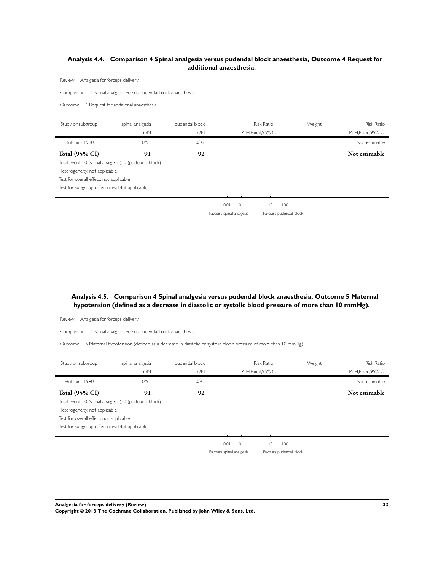# <span id="page-34-0"></span>**Analysis 4.4. Comparison 4 Spinal analgesia versus pudendal block anaesthesia, Outcome 4 Request for additional anaesthesia.**

Review: Analgesia for forceps delivery

j.

Comparison: 4 Spinal analgesia versus pudendal block anaesthesia

Outcome: 4 Request for additional anaesthesia

| Study or subgroup                                      | spinal analgesia | pudendal block |                          |     | <b>Risk Ratio</b> |                        | Weight | <b>Risk Ratio</b> |
|--------------------------------------------------------|------------------|----------------|--------------------------|-----|-------------------|------------------------|--------|-------------------|
|                                                        | n/N              | n/N            |                          |     | M-H.Fixed.95% CI  |                        |        | M-H.Fixed.95% CI  |
| Hutchins 1980                                          | 0/91             | 0/92           |                          |     |                   |                        |        | Not estimable     |
| <b>Total (95% CI)</b>                                  | 91               | 92             |                          |     |                   |                        |        | Not estimable     |
| Total events: 0 (spinal analgesia), 0 (pudendal block) |                  |                |                          |     |                   |                        |        |                   |
| Heterogeneity: not applicable                          |                  |                |                          |     |                   |                        |        |                   |
| Test for overall effect: not applicable                |                  |                |                          |     |                   |                        |        |                   |
| Test for subgroup differences: Not applicable          |                  |                |                          |     |                   |                        |        |                   |
|                                                        |                  |                |                          |     |                   |                        |        |                   |
|                                                        |                  |                | 0.01                     | 0.1 | $\overline{0}$    | 100                    |        |                   |
|                                                        |                  |                | Favours spinal analgesia |     |                   | Favours pudendal block |        |                   |

**Analysis 4.5. Comparison 4 Spinal analgesia versus pudendal block anaesthesia, Outcome 5 Maternal hypotension (defined as a decrease in diastolic or systolic blood pressure of more than 10 mmHg).**

Review: Analgesia for forceps delivery

Comparison: 4 Spinal analgesia versus pudendal block anaesthesia

Outcome: 5 Maternal hypotension (defined as a decrease in diastolic or systolic blood pressure of more than 10 mmHg)

| Study or subgroup                             | spinal analgesia<br>n/N                                | pudendal block<br>n/N |                          | Risk Ratio<br>M-H, Fixed, 95% CI |                        | Weight | <b>Risk Ratio</b><br>M-H, Fixed, 95% CI |
|-----------------------------------------------|--------------------------------------------------------|-----------------------|--------------------------|----------------------------------|------------------------|--------|-----------------------------------------|
|                                               |                                                        |                       |                          |                                  |                        |        |                                         |
| Hutchins 1980                                 | 0/91                                                   | 0/92                  |                          |                                  |                        |        | Not estimable                           |
| <b>Total (95% CI)</b>                         | 91                                                     | 92                    |                          |                                  |                        |        | Not estimable                           |
|                                               | Total events: 0 (spinal analgesia), 0 (pudendal block) |                       |                          |                                  |                        |        |                                         |
| Heterogeneity: not applicable                 |                                                        |                       |                          |                                  |                        |        |                                         |
| Test for overall effect: not applicable       |                                                        |                       |                          |                                  |                        |        |                                         |
| Test for subgroup differences: Not applicable |                                                        |                       |                          |                                  |                        |        |                                         |
|                                               |                                                        |                       |                          |                                  |                        |        |                                         |
|                                               |                                                        |                       | 0.1<br>0.01              | $\overline{0}$                   | 100                    |        |                                         |
|                                               |                                                        |                       |                          |                                  |                        |        |                                         |
|                                               |                                                        |                       | Favours spinal analgesia |                                  | Favours pudendal block |        |                                         |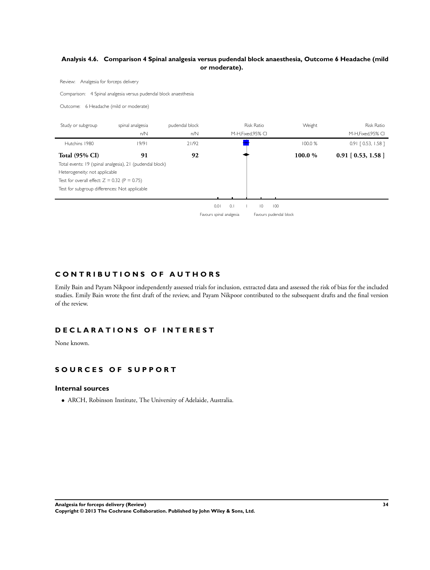# **Analysis 4.6. Comparison 4 Spinal analgesia versus pudendal block anaesthesia, Outcome 6 Headache (mild or moderate).**

Review: Analgesia for forceps delivery

Comparison: 4 Spinal analgesia versus pudendal block anaesthesia

Outcome: 6 Headache (mild or moderate)

| Study or subgroup                                        | spinal analgesia<br>n/N | pudendal block<br>n/N | <b>Risk Ratio</b><br>M-H, Fixed, 95% CI                   | Weight                        | <b>Risk Ratio</b><br>M-H, Fixed, 95% CI |
|----------------------------------------------------------|-------------------------|-----------------------|-----------------------------------------------------------|-------------------------------|-----------------------------------------|
| Hutchins 1980                                            | 19/91                   | 21/92                 |                                                           | 100.0%                        | $0.91$ $[0.53, 1.58]$                   |
| <b>Total (95% CI)</b>                                    | 91                      | 92                    |                                                           | 100.0%                        | $0.91$ [ 0.53, 1.58 ]                   |
| Total events: 19 (spinal analgesia), 21 (pudendal block) |                         |                       |                                                           |                               |                                         |
| Heterogeneity: not applicable                            |                         |                       |                                                           |                               |                                         |
| Test for overall effect: $Z = 0.32$ (P = 0.75)           |                         |                       |                                                           |                               |                                         |
| Test for subgroup differences: Not applicable            |                         |                       |                                                           |                               |                                         |
|                                                          |                         |                       |                                                           |                               |                                         |
|                                                          |                         |                       | 0.1<br>0.01<br>$\overline{0}$<br>Favours spinal analgesia | 100<br>Favours pudendal block |                                         |

# **C O N T R I B U T I O N S O F A U T H O R S**

Emily Bain and Payam Nikpoor independently assessed trials for inclusion, extracted data and assessed the risk of bias for the included studies. Emily Bain wrote the first draft of the review, and Payam Nikpoor contributed to the subsequent drafts and the final version of the review.

# **D E C L A R A T I O N S O F I N T E R E S T**

None known.

l.

# **S O U R C E S O F S U P P O R T**

# **Internal sources**

• ARCH, Robinson Institute, The University of Adelaide, Australia.